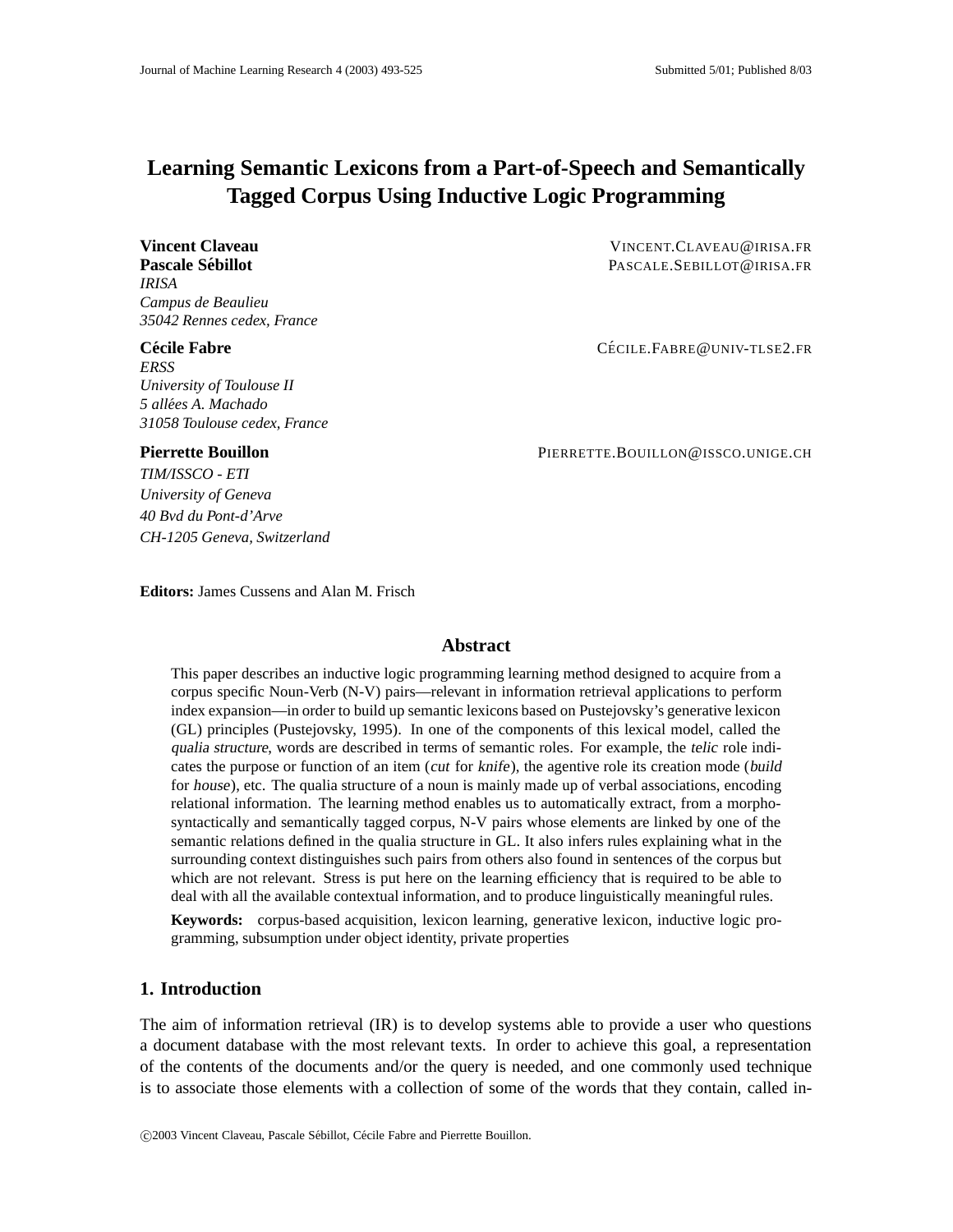# **Learning Semantic Lexicons from a Part-of-Speech and Semantically Tagged Corpus Using Inductive Logic Programming**

**Vincent Claveau** VINCENT.CLAVEAU@IRISA.FR *IRISA Campus de Beaulieu 35042 Rennes cedex, France*

*ERSS University of Toulouse II 5 allees A. Machado ´ 31058 Toulouse cedex, France*

**Pascale Sebillot ´** PASCALE.SEBILLOT@IRISA.FR

**Cécile Fabre <sup>ob</sup> Cecile Fabre <sup>of</sup> Cecile Fabre <sup>of</sup> CECILE EXABRE@UNIV-TLSE2.FR** 

**Pierrette Bouillon** PIERRETTE.BOUILLON@ISSCO.UNIGE.CH

*TIM/ISSCO - ETI University of Geneva 40 Bvd du Pont-d'Arve CH-1205 Geneva, Switzerland*

**Editors:** James Cussens and Alan M. Frisch

#### **Abstract**

This paper describes an inductive logic programming learning method designed to acquire from a corpus specific Noun-Verb (N-V) pairs—relevant in information retrieval applications to perform index expansion—in order to build up semantic lexicons based on Pustejovsky's generative lexicon (GL) principles (Pustejovsky, 1995). In one of the components of this lexical model, called the qualia structure, words are described in terms of semantic roles. For example, the telic role indicates the purpose or function of an item (cut for knife), the agentive role its creation mode (build for house), etc. The qualia structure of a noun is mainly made up of verbal associations, encoding relational information. The learning method enables us to automatically extract, from a morphosyntactically and semantically tagged corpus, N-V pairs whose elements are linked by one of the semantic relations defined in the qualia structure in GL. It also infers rules explaining what in the surrounding context distinguishes such pairs from others also found in sentences of the corpus but which are not relevant. Stress is put here on the learning efficiency that is required to be able to deal with all the available contextual information, and to produce linguistically meaningful rules.

**Keywords:** corpus-based acquisition, lexicon learning, generative lexicon, inductive logic programming, subsumption under object identity, private properties

## **1. Introduction**

The aim of information retrieval (IR) is to develop systems able to provide a user who questions a document database with the most relevant texts. In order to achieve this goal, a representation of the contents of the documents and/or the query is needed, and one commonly used technique is to associate those elements with a collection of some of the words that they contain, called in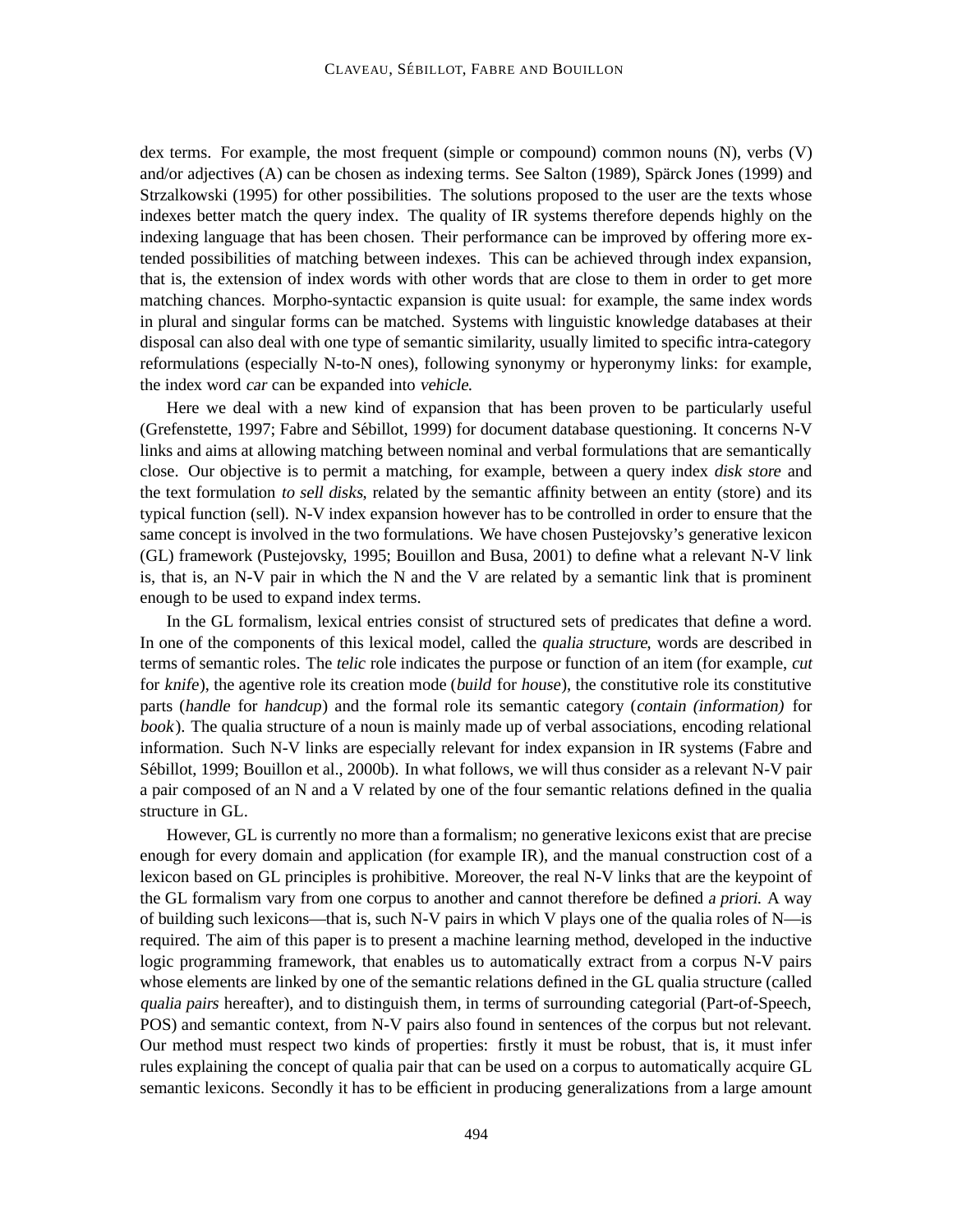dex terms. For example, the most frequent (simple or compound) common nouns (N), verbs (V) and/or adjectives (A) can be chosen as indexing terms. See Salton (1989), Spärck Jones (1999) and Strzalkowski (1995) for other possibilities. The solutions proposed to the user are the texts whose indexes better match the query index. The quality of IR systems therefore depends highly on the indexing language that has been chosen. Their performance can be improved by offering more extended possibilities of matching between indexes. This can be achieved through index expansion, that is, the extension of index words with other words that are close to them in order to get more matching chances. Morpho-syntactic expansion is quite usual: for example, the same index words in plural and singular forms can be matched. Systems with linguistic knowledge databases at their disposal can also deal with one type of semantic similarity, usually limited to specific intra-category reformulations (especially N-to-N ones), following synonymy or hyperonymy links: for example, the index word car can be expanded into vehicle.

Here we deal with a new kind of expansion that has been proven to be particularly useful (Grefenstette, 1997; Fabre and Sébillot, 1999) for document database questioning. It concerns N-V links and aims at allowing matching between nominal and verbal formulations that are semantically close. Our objective is to permit a matching, for example, between a query index disk store and the text formulation to sell disks, related by the semantic affinity between an entity (store) and its typical function (sell). N-V index expansion however has to be controlled in order to ensure that the same concept is involved in the two formulations. We have chosen Pustejovsky's generative lexicon (GL) framework (Pustejovsky, 1995; Bouillon and Busa, 2001) to define what a relevant N-V link is, that is, an N-V pair in which the N and the V are related by a semantic link that is prominent enough to be used to expand index terms.

In the GL formalism, lexical entries consist of structured sets of predicates that define a word. In one of the components of this lexical model, called the qualia structure, words are described in terms of semantic roles. The telic role indicates the purpose or function of an item (for example, cut for knife), the agentive role its creation mode (build for house), the constitutive role its constitutive parts (handle for handcup) and the formal role its semantic category (contain (information) for book). The qualia structure of a noun is mainly made up of verbal associations, encoding relational information. Such N-V links are especially relevant for index expansion in IR systems (Fabre and Sébillot, 1999; Bouillon et al., 2000b). In what follows, we will thus consider as a relevant N-V pair a pair composed of an N and a V related by one of the four semantic relations defined in the qualia structure in GL.

However, GL is currently no more than a formalism; no generative lexicons exist that are precise enough for every domain and application (for example IR), and the manual construction cost of a lexicon based on GL principles is prohibitive. Moreover, the real N-V links that are the keypoint of the GL formalism vary from one corpus to another and cannot therefore be defined <sup>a</sup> priori. A way of building such lexicons—that is, such N-V pairs in which V plays one of the qualia roles of N—is required. The aim of this paper is to present a machine learning method, developed in the inductive logic programming framework, that enables us to automatically extract from a corpus N-V pairs whose elements are linked by one of the semantic relations defined in the GL qualia structure (called qualia pairs hereafter), and to distinguish them, in terms of surrounding categorial (Part-of-Speech, POS) and semantic context, from N-V pairs also found in sentences of the corpus but not relevant. Our method must respect two kinds of properties: firstly it must be robust, that is, it must infer rules explaining the concept of qualia pair that can be used on a corpus to automatically acquire GL semantic lexicons. Secondly it has to be efficient in producing generalizations from a large amount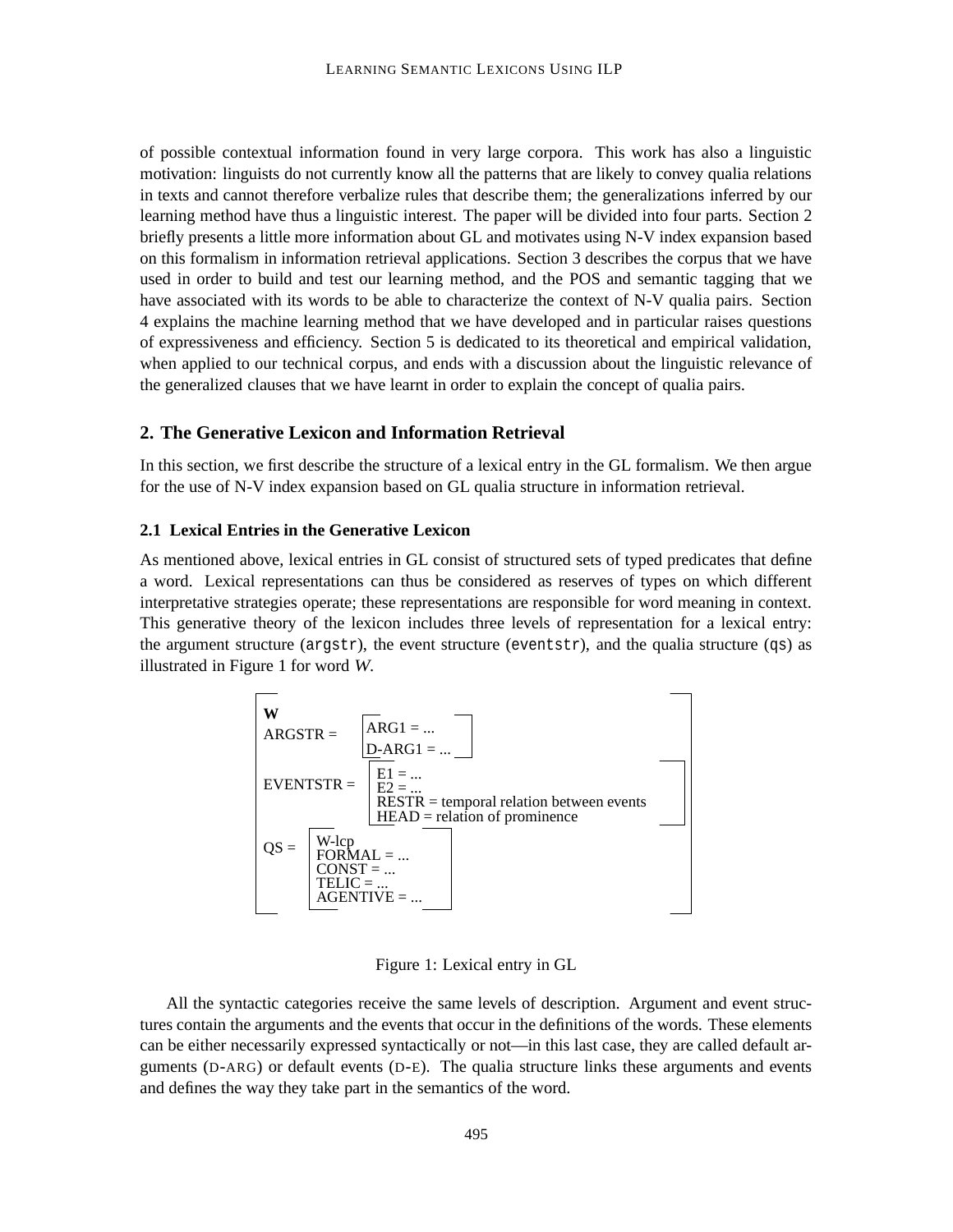of possible contextual information found in very large corpora. This work has also a linguistic motivation: linguists do not currently know all the patterns that are likely to convey qualia relations in texts and cannot therefore verbalize rules that describe them; the generalizations inferred by our learning method have thus a linguistic interest. The paper will be divided into four parts. Section 2 briefly presents a little more information about GL and motivates using N-V index expansion based on this formalism in information retrieval applications. Section 3 describes the corpus that we have used in order to build and test our learning method, and the POS and semantic tagging that we have associated with its words to be able to characterize the context of N-V qualia pairs. Section 4 explains the machine learning method that we have developed and in particular raises questions of expressiveness and efficiency. Section 5 is dedicated to its theoretical and empirical validation, when applied to our technical corpus, and ends with a discussion about the linguistic relevance of the generalized clauses that we have learnt in order to explain the concept of qualia pairs.

## **2. The Generative Lexicon and Information Retrieval**

In this section, we first describe the structure of a lexical entry in the GL formalism. We then argue for the use of N-V index expansion based on GL qualia structure in information retrieval.

## **2.1 Lexical Entries in the Generative Lexicon**

As mentioned above, lexical entries in GL consist of structured sets of typed predicates that define a word. Lexical representations can thus be considered as reserves of types on which different interpretative strategies operate; these representations are responsible for word meaning in context. This generative theory of the lexicon includes three levels of representation for a lexical entry: the argument structure ( $\arg(t)$ , the event structure (event stript), and the qualia structure ( $\arg(t)$ ) as illustrated in Figure 1 for word <sup>W</sup>.



Figure 1: Lexical entry in GL

All the syntactic categories receive the same levels of description. Argument and event structures contain the arguments and the events that occur in the definitions of the words. These elements can be either necessarily expressed syntactically or not—in this last case, they are called default arguments (D-ARG) or default events (D-E). The qualia structure links these arguments and events and defines the way they take part in the semantics of the word.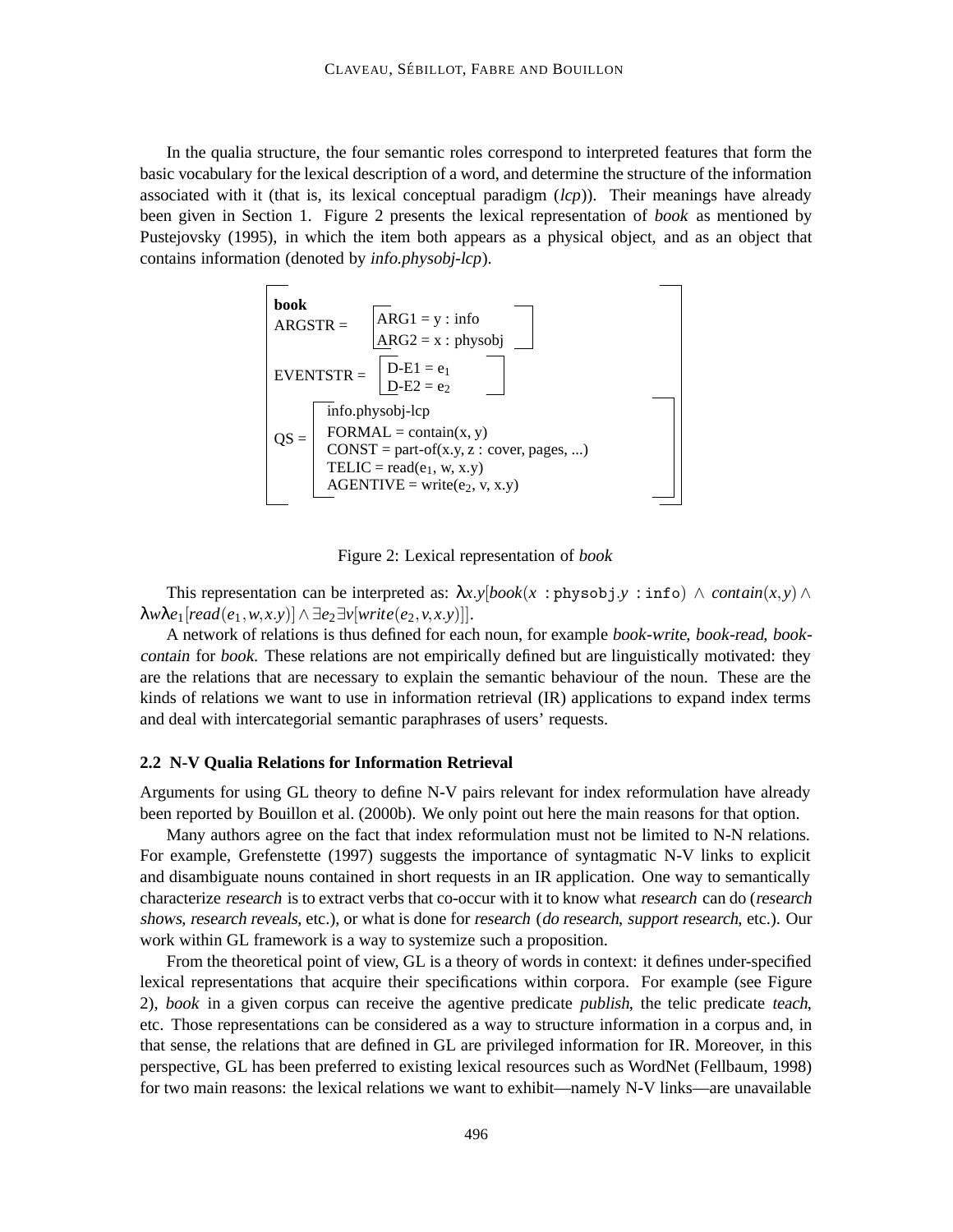In the qualia structure, the four semantic roles correspond to interpreted features that form the basic vocabulary for the lexical description of a word, and determine the structure of the information associated with it (that is, its lexical conceptual paradigm  $(lcp)$ ). Their meanings have already been given in Section 1. Figure 2 presents the lexical representation of book as mentioned by Pustejovsky (1995), in which the item both appears as a physical object, and as an object that contains information (denoted by info.physobj-lcp).



Figure 2: Lexical representation of book

This representation can be interpreted as:  $\lambda x. y[book(x : physobj.y : info) \wedge contain(x, y) \wedge$  $\lambda w \lambda e_1[read(e_1, w, x, y)] \wedge \exists e_2 \exists v[write(e_2, v, x, y)]].$ 

A network of relations is thus defined for each noun, for example book-write, book-read, bookcontain for book. These relations are not empirically defined but are linguistically motivated: they are the relations that are necessary to explain the semantic behaviour of the noun. These are the kinds of relations we want to use in information retrieval (IR) applications to expand index terms and deal with intercategorial semantic paraphrases of users' requests.

#### **2.2 N-V Qualia Relations for Information Retrieval**

Arguments for using GL theory to define N-V pairs relevant for index reformulation have already been reported by Bouillon et al. (2000b). We only point out here the main reasons for that option.

Many authors agree on the fact that index reformulation must not be limited to N-N relations. For example, Grefenstette (1997) suggests the importance of syntagmatic N-V links to explicit and disambiguate nouns contained in short requests in an IR application. One way to semantically characterize research is to extract verbs that co-occur with it to know what research can do (research shows, research reveals, etc.), or what is done for research (do research, support research, etc.). Our work within GL framework is a way to systemize such a proposition.

From the theoretical point of view, GL is a theory of words in context: it defines under-specified lexical representations that acquire their specifications within corpora. For example (see Figure 2), book in a given corpus can receive the agentive predicate publish, the telic predicate teach, etc. Those representations can be considered as a way to structure information in a corpus and, in that sense, the relations that are defined in GL are privileged information for IR. Moreover, in this perspective, GL has been preferred to existing lexical resources such as WordNet (Fellbaum, 1998) for two main reasons: the lexical relations we want to exhibit—namely N-V links—are unavailable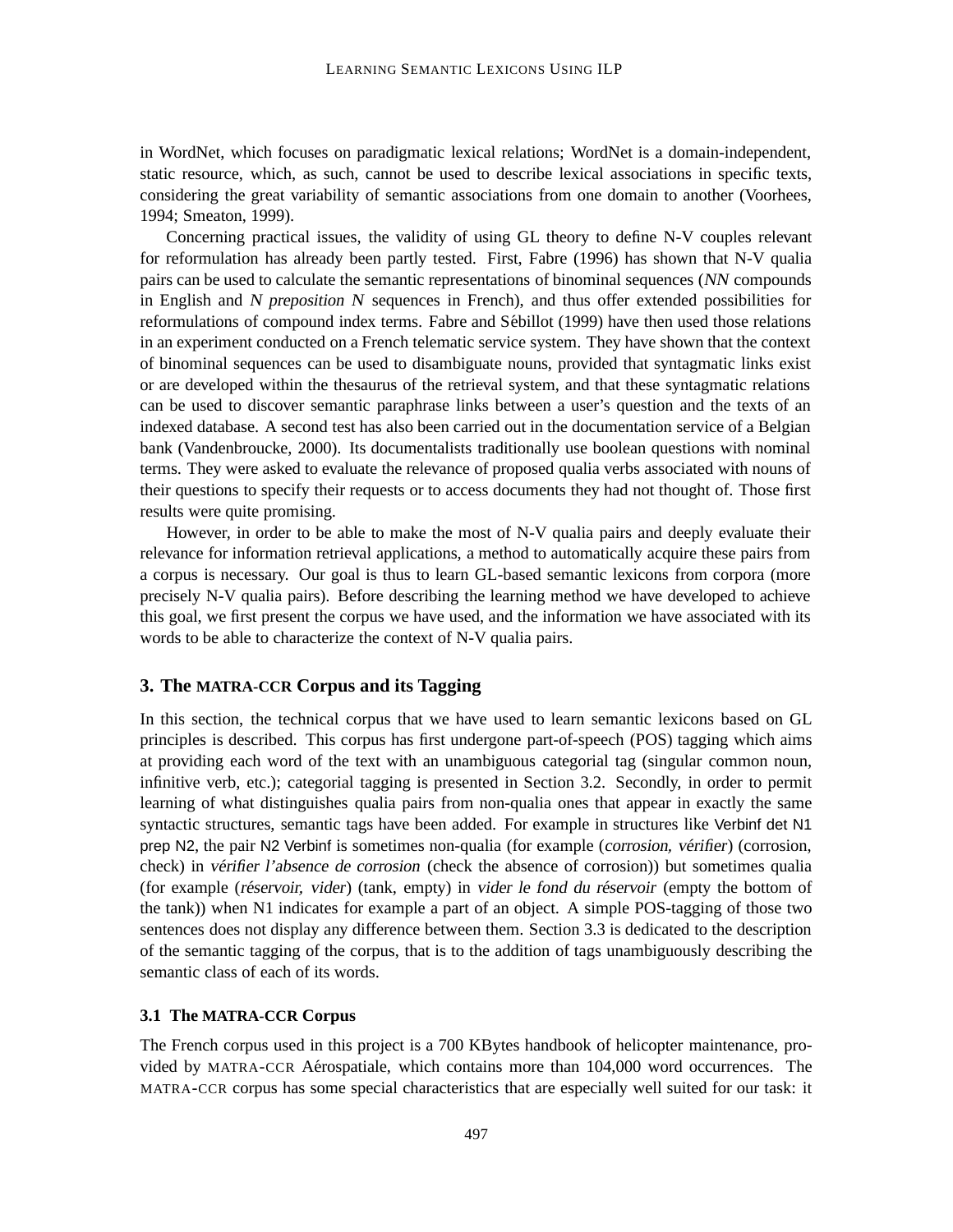in WordNet, which focuses on paradigmatic lexical relations; WordNet is a domain-independent, static resource, which, as such, cannot be used to describe lexical associations in specific texts, considering the great variability of semantic associations from one domain to another (Voorhees, 1994; Smeaton, 1999).

Concerning practical issues, the validity of using GL theory to define N-V couples relevant for reformulation has already been partly tested. First, Fabre (1996) has shown that N-V qualia pairs can be used to calculate the semantic representations of binominal sequences (NN compounds in English and  $N$  preposition  $N$  sequences in French), and thus offer extended possibilities for reformulations of compound index terms. Fabre and Sébillot (1999) have then used those relations in an experiment conducted on a French telematic service system. They have shown that the context of binominal sequences can be used to disambiguate nouns, provided that syntagmatic links exist or are developed within the thesaurus of the retrieval system, and that these syntagmatic relations can be used to discover semantic paraphrase links between a user's question and the texts of an indexed database. A second test has also been carried out in the documentation service of a Belgian bank (Vandenbroucke, 2000). Its documentalists traditionally use boolean questions with nominal terms. They were asked to evaluate the relevance of proposed qualia verbs associated with nouns of their questions to specify their requests or to access documents they had not thought of. Those first results were quite promising.

However, in order to be able to make the most of N-V qualia pairs and deeply evaluate their relevance for information retrieval applications, a method to automatically acquire these pairs from a corpus is necessary. Our goal is thus to learn GL-based semantic lexicons from corpora (more precisely N-V qualia pairs). Before describing the learning method we have developed to achieve this goal, we first present the corpus we have used, and the information we have associated with its words to be able to characterize the context of N-V qualia pairs.

## **3. The MATRA-CCR Corpus and its Tagging**

In this section, the technical corpus that we have used to learn semantic lexicons based on GL principles is described. This corpus has first undergone part-of-speech (POS) tagging which aims at providing each word of the text with an unambiguous categorial tag (singular common noun, infinitive verb, etc.); categorial tagging is presented in Section 3.2. Secondly, in order to permit learning of what distinguishes qualia pairs from non-qualia ones that appear in exactly the same syntactic structures, semantic tags have been added. For example in structures like Verbinf det N1 prep N2, the pair N2 Verbinf is sometimes non-qualia (for example (corrosion, vérifier) (corrosion, check) in vérifier l'absence de corrosion (check the absence of corrosion)) but sometimes qualia (for example (réservoir, vider) (tank, empty) in vider le fond du réservoir (empty the bottom of the tank)) when N1 indicates for example a part of an object. A simple POS-tagging of those two sentences does not display any difference between them. Section 3.3 is dedicated to the description of the semantic tagging of the corpus, that is to the addition of tags unambiguously describing the semantic class of each of its words.

#### **3.1 The MATRA-CCR Corpus**

The French corpus used in this project is a 700 KBytes handbook of helicopter maintenance, provided by MATRA-CCR Aérospatiale, which contains more than  $104,000$  word occurrences. The MATRA-CCR corpus has some special characteristics that are especially well suited for our task: it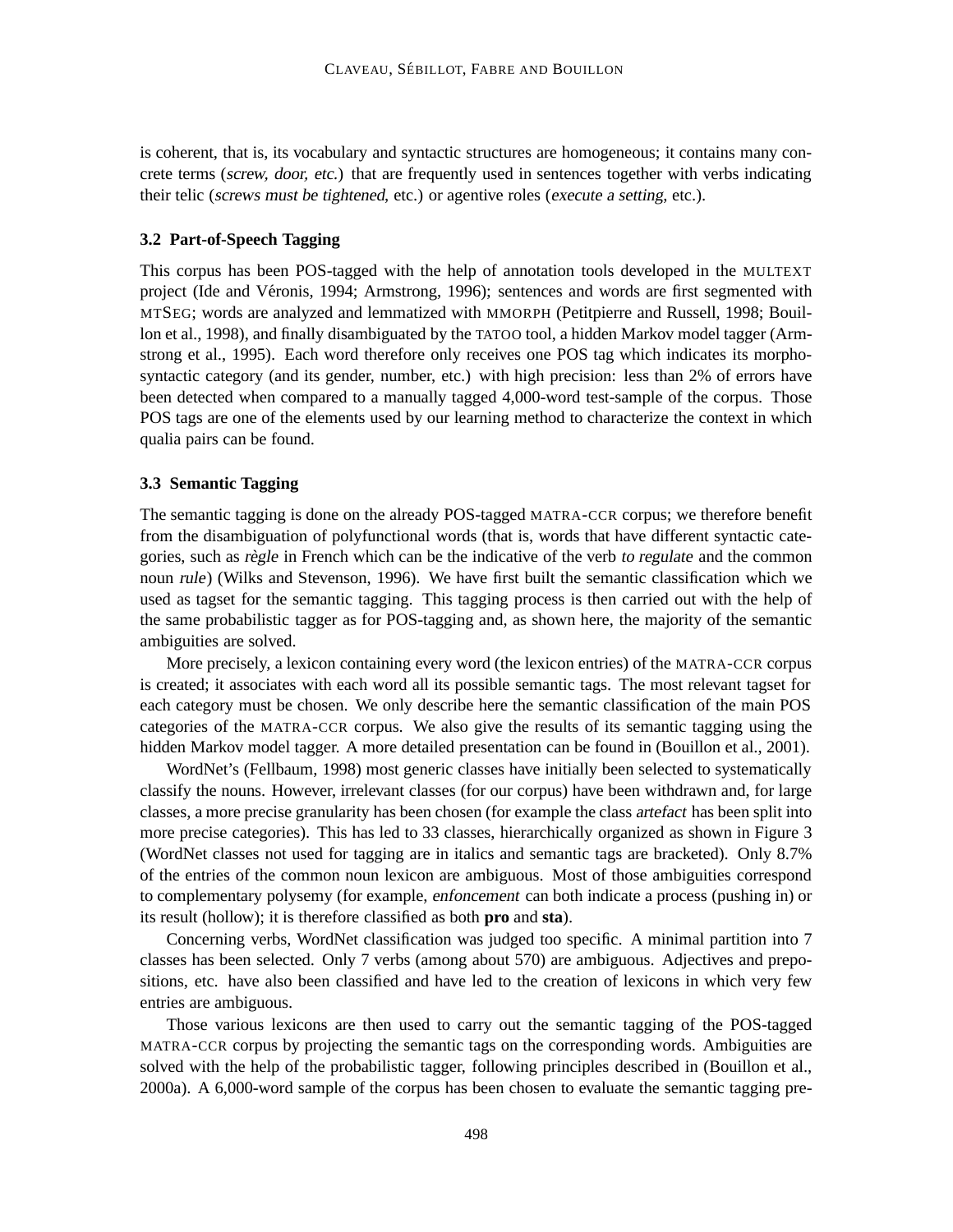is coherent, that is, its vocabulary and syntactic structures are homogeneous; it contains many concrete terms (screw, door, etc.) that are frequently used in sentences together with verbs indicating their telic (screws must be tightened, etc.) or agentive roles (execute <sup>a</sup> setting, etc.).

## **3.2 Part-of-Speech Tagging**

This corpus has been POS-tagged with the help of annotation tools developed in the MULTEXT project (Ide and Véronis, 1994; Armstrong, 1996); sentences and words are first segmented with MTSEG; words are analyzed and lemmatized with MMORPH (Petitpierre and Russell, 1998; Bouillon et al., 1998), and finally disambiguated by the TATOO tool, a hidden Markov model tagger (Armstrong et al., 1995). Each word therefore only receives one POS tag which indicates its morphosyntactic category (and its gender, number, etc.) with high precision: less than 2% of errors have been detected when compared to a manually tagged 4,000-word test-sample of the corpus. Those POS tags are one of the elements used by our learning method to characterize the context in which qualia pairs can be found.

## **3.3 Semantic Tagging**

The semantic tagging is done on the already POS-tagged MATRA-CCR corpus; we therefore benefit from the disambiguation of polyfunctional words (that is, words that have different syntactic categories, such as règle in French which can be the indicative of the verb to regulate and the common noun rule) (Wilks and Stevenson, 1996). We have first built the semantic classification which we used as tagset for the semantic tagging. This tagging process is then carried out with the help of the same probabilistic tagger as for POS-tagging and, as shown here, the majority of the semantic ambiguities are solved.

More precisely, a lexicon containing every word (the lexicon entries) of the MATRA-CCR corpus is created; it associates with each word all its possible semantic tags. The most relevant tagset for each category must be chosen. We only describe here the semantic classification of the main POS categories of the MATRA-CCR corpus. We also give the results of its semantic tagging using the hidden Markov model tagger. A more detailed presentation can be found in (Bouillon et al., 2001).

WordNet's (Fellbaum, 1998) most generic classes have initially been selected to systematically classify the nouns. However, irrelevant classes (for our corpus) have been withdrawn and, for large classes, a more precise granularity has been chosen (for example the class artefact has been split into more precise categories). This has led to 33 classes, hierarchically organized as shown in Figure 3 (WordNet classes not used for tagging are in italics and semantic tags are bracketed). Only 8.7% of the entries of the common noun lexicon are ambiguous. Most of those ambiguities correspond to complementary polysemy (for example, enfoncement can both indicate a process (pushing in) or its result (hollow); it is therefore classified as both **pro** and **sta**).

Concerning verbs, WordNet classification was judged too specific. A minimal partition into 7 classes has been selected. Only 7 verbs (among about 570) are ambiguous. Adjectives and prepositions, etc. have also been classified and have led to the creation of lexicons in which very few entries are ambiguous.

Those various lexicons are then used to carry out the semantic tagging of the POS-tagged MATRA-CCR corpus by projecting the semantic tags on the corresponding words. Ambiguities are solved with the help of the probabilistic tagger, following principles described in (Bouillon et al., 2000a). A 6,000-word sample of the corpus has been chosen to evaluate the semantic tagging pre-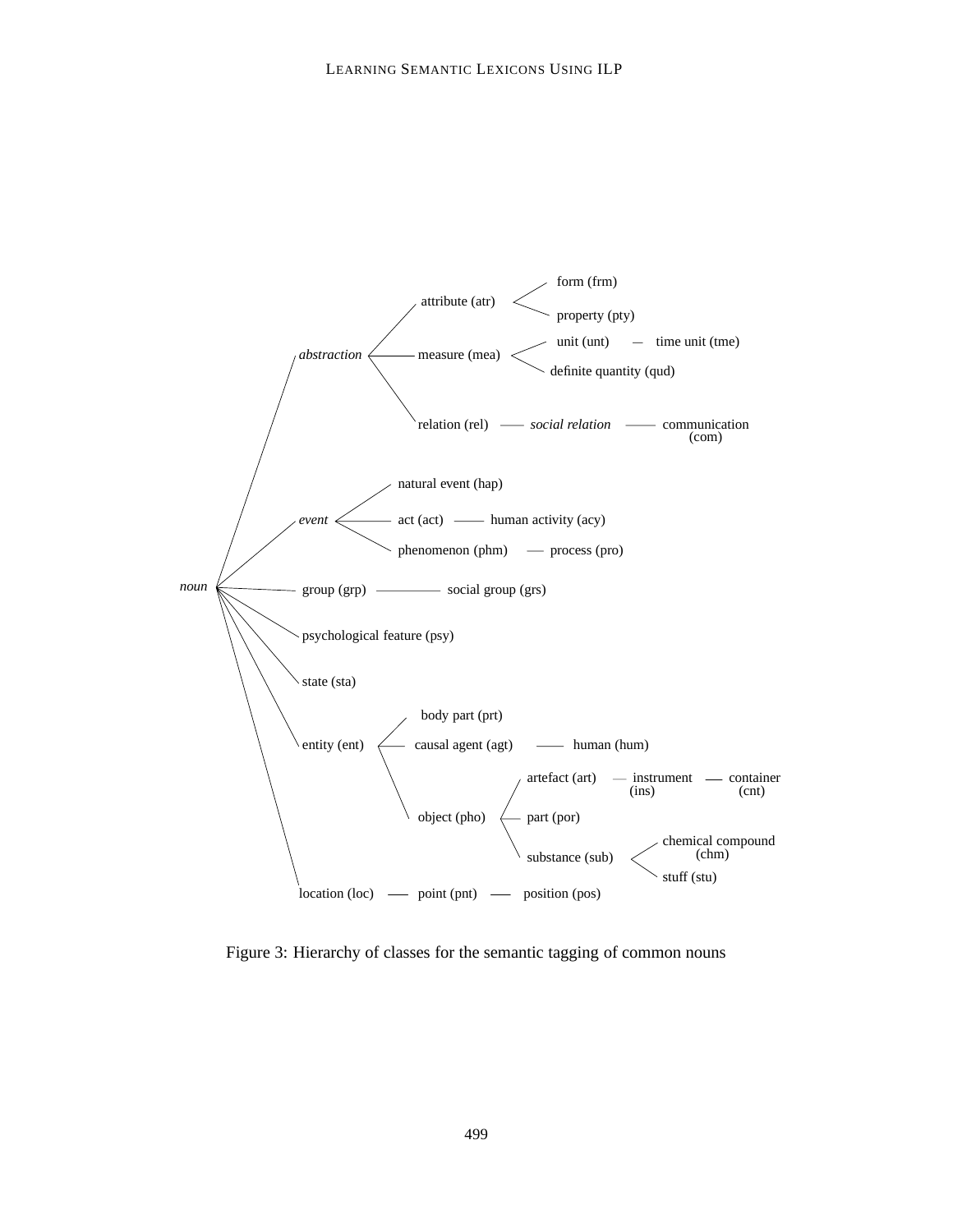

Figure 3: Hierarchy of classes for the semantic tagging of common nouns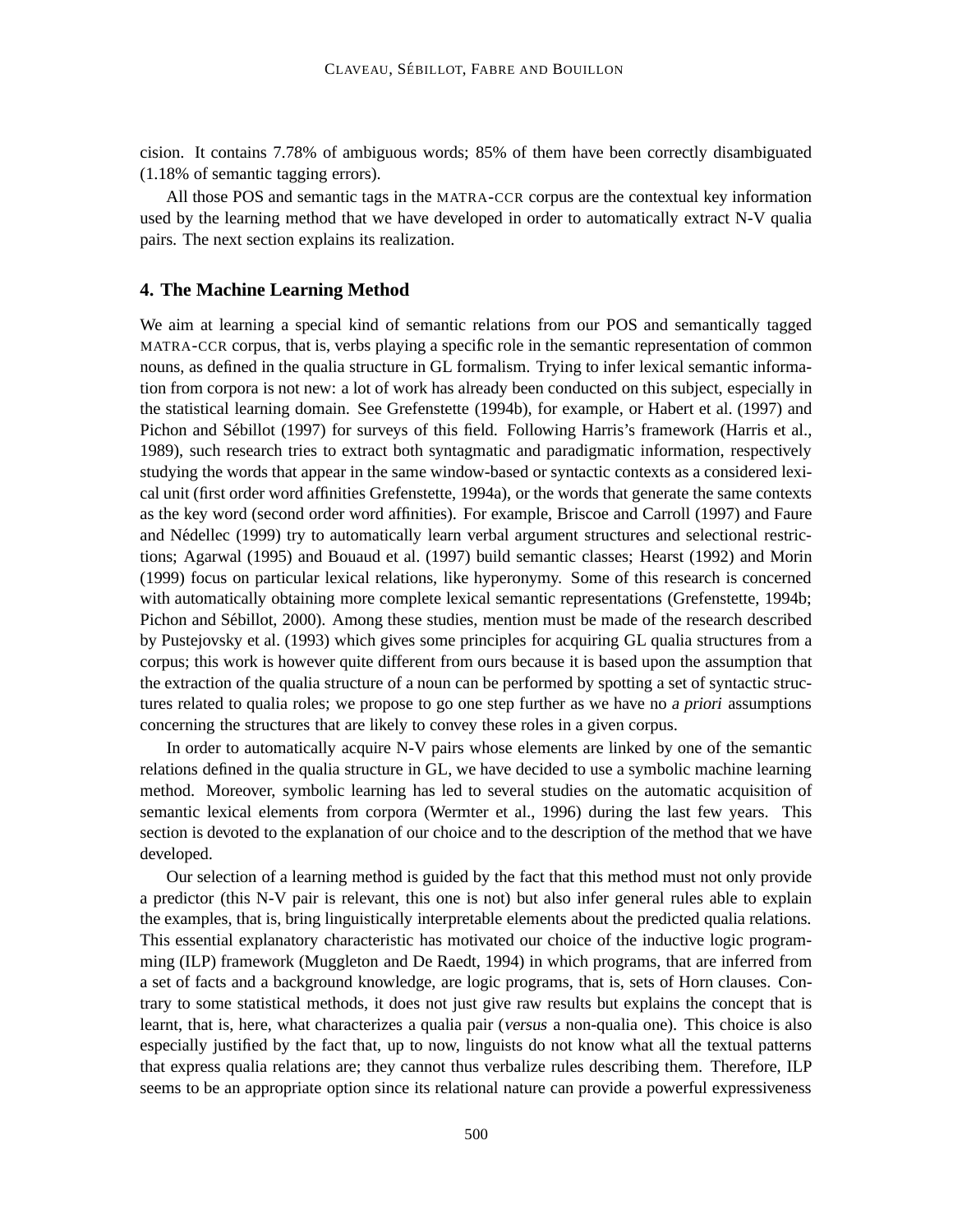cision. It contains 7.78% of ambiguous words; 85% of them have been correctly disambiguated (1.18% of semantic tagging errors).

All those POS and semantic tags in the MATRA-CCR corpus are the contextual key information used by the learning method that we have developed in order to automatically extract N-V qualia pairs. The next section explains its realization.

## **4. The Machine Learning Method**

We aim at learning a special kind of semantic relations from our POS and semantically tagged MATRA-CCR corpus, that is, verbs playing a specific role in the semantic representation of common nouns, as defined in the qualia structure in GL formalism. Trying to infer lexical semantic information from corpora is not new: a lot of work has already been conducted on this subject, especially in the statistical learning domain. See Grefenstette (1994b), for example, or Habert et al. (1997) and Pichon and Sébillot (1997) for surveys of this field. Following Harris's framework (Harris et al., 1989), such research tries to extract both syntagmatic and paradigmatic information, respectively studying the words that appear in the same window-based or syntactic contexts as a considered lexical unit (first order word affinities Grefenstette, 1994a), or the words that generate the same contexts as the key word (second order word affinities). For example, Briscoe and Carroll (1997) and Faure and Nédellec (1999) try to automatically learn verbal argument structures and selectional restrictions; Agarwal (1995) and Bouaud et al. (1997) build semantic classes; Hearst (1992) and Morin (1999) focus on particular lexical relations, like hyperonymy. Some of this research is concerned with automatically obtaining more complete lexical semantic representations (Grefenstette, 1994b; Pichon and Sébillot, 2000). Among these studies, mention must be made of the research described by Pustejovsky et al. (1993) which gives some principles for acquiring GL qualia structures from a corpus; this work is however quite different from ours because it is based upon the assumption that the extraction of the qualia structure of a noun can be performed by spotting a set of syntactic structures related to qualia roles; we propose to go one step further as we have no a priori assumptions concerning the structures that are likely to convey these roles in a given corpus.

In order to automatically acquire N-V pairs whose elements are linked by one of the semantic relations defined in the qualia structure in GL, we have decided to use a symbolic machine learning method. Moreover, symbolic learning has led to several studies on the automatic acquisition of semantic lexical elements from corpora (Wermter et al., 1996) during the last few years. This section is devoted to the explanation of our choice and to the description of the method that we have developed.

Our selection of a learning method is guided by the fact that this method must not only provide a predictor (this N-V pair is relevant, this one is not) but also infer general rules able to explain the examples, that is, bring linguistically interpretable elements about the predicted qualia relations. This essential explanatory characteristic has motivated our choice of the inductive logic programming (ILP) framework (Muggleton and De Raedt, 1994) in which programs, that are inferred from a set of facts and a background knowledge, are logic programs, that is, sets of Horn clauses. Contrary to some statistical methods, it does not just give raw results but explains the concept that is learnt, that is, here, what characterizes a qualia pair (versus a non-qualia one). This choice is also especially justified by the fact that, up to now, linguists do not know what all the textual patterns that express qualia relations are; they cannot thus verbalize rules describing them. Therefore, ILP seems to be an appropriate option since its relational nature can provide a powerful expressiveness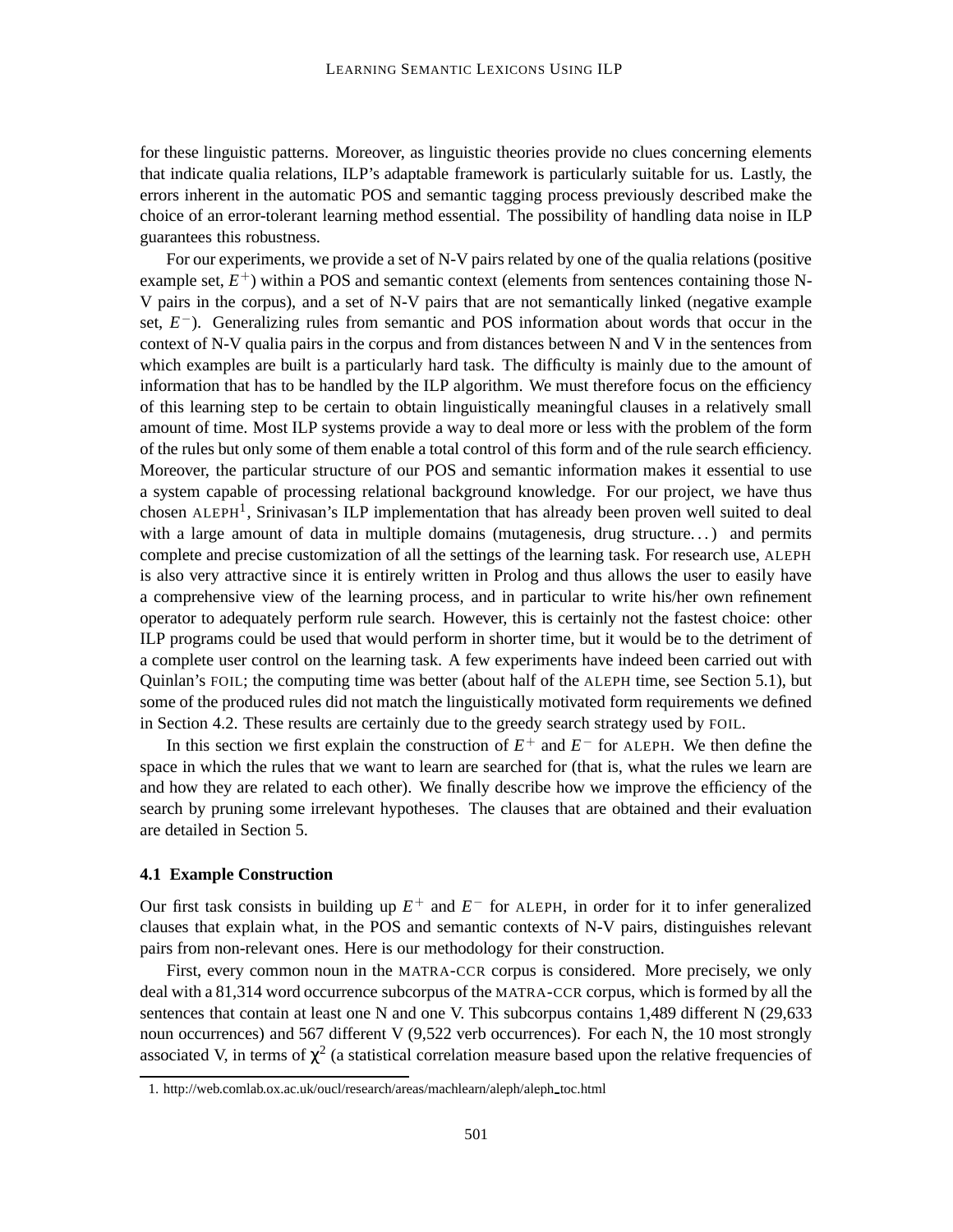for these linguistic patterns. Moreover, as linguistic theories provide no clues concerning elements that indicate qualia relations, ILP's adaptable framework is particularly suitable for us. Lastly, the errors inherent in the automatic POS and semantic tagging process previously described make the choice of an error-tolerant learning method essential. The possibility of handling data noise in ILP guarantees this robustness.

For our experiments, we provide a set of N-V pairs related by one of the qualia relations (positive example set,  $E^+$ ) within a POS and semantic context (elements from sentences containing those N-V pairs in the corpus), and a set of N-V pairs that are not semantically linked (negative example set, *E*−). Generalizing rules from semantic and POS information about words that occur in the context of N-V qualia pairs in the corpus and from distances between N and V in the sentences from which examples are built is a particularly hard task. The difficulty is mainly due to the amount of information that has to be handled by the ILP algorithm. We must therefore focus on the efficiency of this learning step to be certain to obtain linguistically meaningful clauses in a relatively small amount of time. Most ILP systems provide a way to deal more or less with the problem of the form of the rules but only some of them enable a total control of this form and of the rule search efficiency. Moreover, the particular structure of our POS and semantic information makes it essential to use a system capable of processing relational background knowledge. For our project, we have thus chosen  $ALEPH<sup>1</sup>$ , Srinivasan's ILP implementation that has already been proven well suited to deal with a large amount of data in multiple domains (mutagenesis, drug structure...) and permits complete and precise customization of all the settings of the learning task. For research use, ALEPH is also very attractive since it is entirely written in Prolog and thus allows the user to easily have a comprehensive view of the learning process, and in particular to write his/her own refinement operator to adequately perform rule search. However, this is certainly not the fastest choice: other ILP programs could be used that would perform in shorter time, but it would be to the detriment of a complete user control on the learning task. A few experiments have indeed been carried out with Quinlan's FOIL; the computing time was better (about half of the ALEPH time, see Section 5.1), but some of the produced rules did not match the linguistically motivated form requirements we defined in Section 4.2. These results are certainly due to the greedy search strategy used by FOIL.

In this section we first explain the construction of *E*<sup>+</sup> and *E*<sup>−</sup> for ALEPH. We then define the space in which the rules that we want to learn are searched for (that is, what the rules we learn are and how they are related to each other). We finally describe how we improve the efficiency of the search by pruning some irrelevant hypotheses. The clauses that are obtained and their evaluation are detailed in Section 5.

## **4.1 Example Construction**

Our first task consists in building up  $E^+$  and  $E^-$  for ALEPH, in order for it to infer generalized clauses that explain what, in the POS and semantic contexts of N-V pairs, distinguishes relevant pairs from non-relevant ones. Here is our methodology for their construction.

First, every common noun in the MATRA-CCR corpus is considered. More precisely, we only deal with a 81,314 word occurrence subcorpus of the MATRA-CCR corpus, which is formed by all the sentences that contain at least one N and one V. This subcorpus contains 1,489 different N (29,633 noun occurrences) and 567 different V (9,522 verb occurrences). For each N, the 10 most strongly associated V, in terms of  $\chi^2$  (a statistical correlation measure based upon the relative frequencies of

<sup>1.</sup> http://web.comlab.ox.ac.uk/oucl/research/areas/machlearn/aleph/aleph toc.html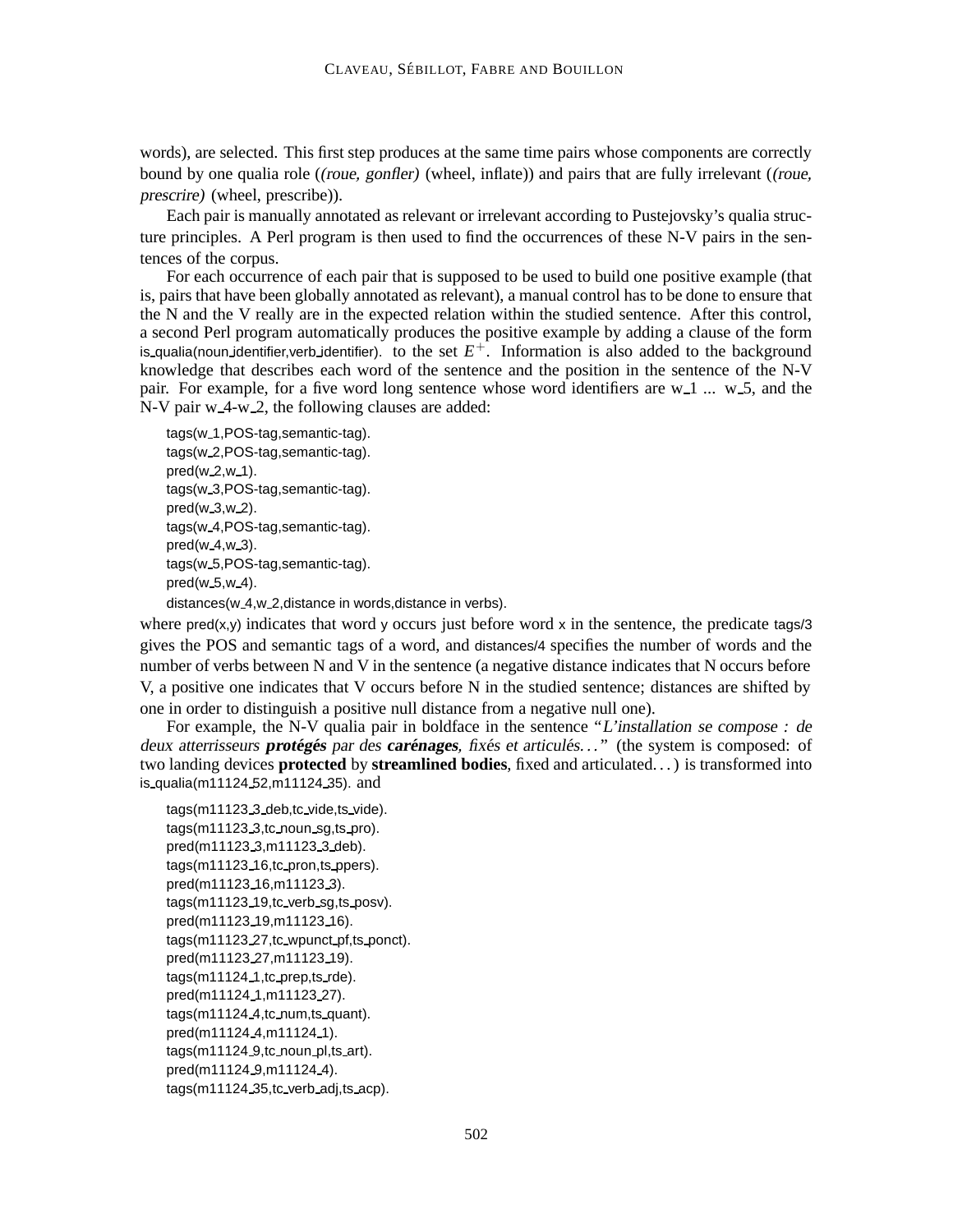words), are selected. This first step produces at the same time pairs whose components are correctly bound by one qualia role ((roue, gonfler) (wheel, inflate)) and pairs that are fully irrelevant ((roue, prescrire) (wheel, prescribe)).

Each pair is manually annotated as relevant or irrelevant according to Pustejovsky's qualia structure principles. A Perl program is then used to find the occurrences of these N-V pairs in the sentences of the corpus.

For each occurrence of each pair that is supposed to be used to build one positive example (that is, pairs that have been globally annotated as relevant), a manual control has to be done to ensure that the N and the V really are in the expected relation within the studied sentence. After this control, a second Perl program automatically produces the positive example by adding a clause of the form is qualia(noun identifier, verb identifier). to the set  $E^+$ . Information is also added to the background knowledge that describes each word of the sentence and the position in the sentence of the N-V pair. For example, for a five word long sentence whose word identifiers are w 1 ... w -5, and the N-V pair w 4-w 2, the following clauses are added:

```
tags(w 1,POS-tag,semantic-tag).
tags(w 2,POS-tag,semantic-tag).
pred(w_2,w_1).
tags(w 3,POS-tag,semantic-tag).
pred(w_3,w_2).
tags(w 4,POS-tag,semantic-tag).
pred(w 4,w 3).
tags(w 5,POS-tag,semantic-tag).
pred(w 5,w 4).
distances(w 4,w 2,distance in words,distance in verbs).
```
where  $pred(x,y)$  indicates that word y occurs just before word x in the sentence, the predicate tags/3 gives the POS and semantic tags of a word, and distances/4 specifies the number of words and the number of verbs between N and V in the sentence (a negative distance indicates that N occurs before V, a positive one indicates that V occurs before N in the studied sentence; distances are shifted by one in order to distinguish a positive null distance from a negative null one).

For example, the N-V qualia pair in boldface in the sentence "L'installation se compose : de deux atterrisseurs **protégés** par des **carénages**, fixés et articulés..." (the system is composed: of two landing devices **protected** by **streamlined bodies**, fixed and articulated. . . ) is transformed into is qualia(m11124 52,m11124 35). and

```
tags(m11123_3_deb,tc_vide,ts_vide).
tags(m11123 3,tc noun sg,ts pro).
pred(m11123 3,m11123 3 deb).
tags(m11123_16,tc_pron,ts_ppers).
pred(m11123_16,m11123_3).
tags(m11123 19,tc verb sg,ts posv).
pred(m11123_19,m11123_16).
tags(m11123 27,tc wpunct pf,ts ponct).
pred(m11123 27,m11123 19).
tags(m11124_1,tc_prep,ts_rde).
pred(m11124_1,m11123_27).
tags(m11124_4,tc_number.mum,ts_quant).pred(m11124_4,m11124_1).
tags(m11124_9,tc_noun_pl,ts_art).
pred(m11124_9,m11124_4).
tags(m11124 35,tc verb adj,ts acp).
```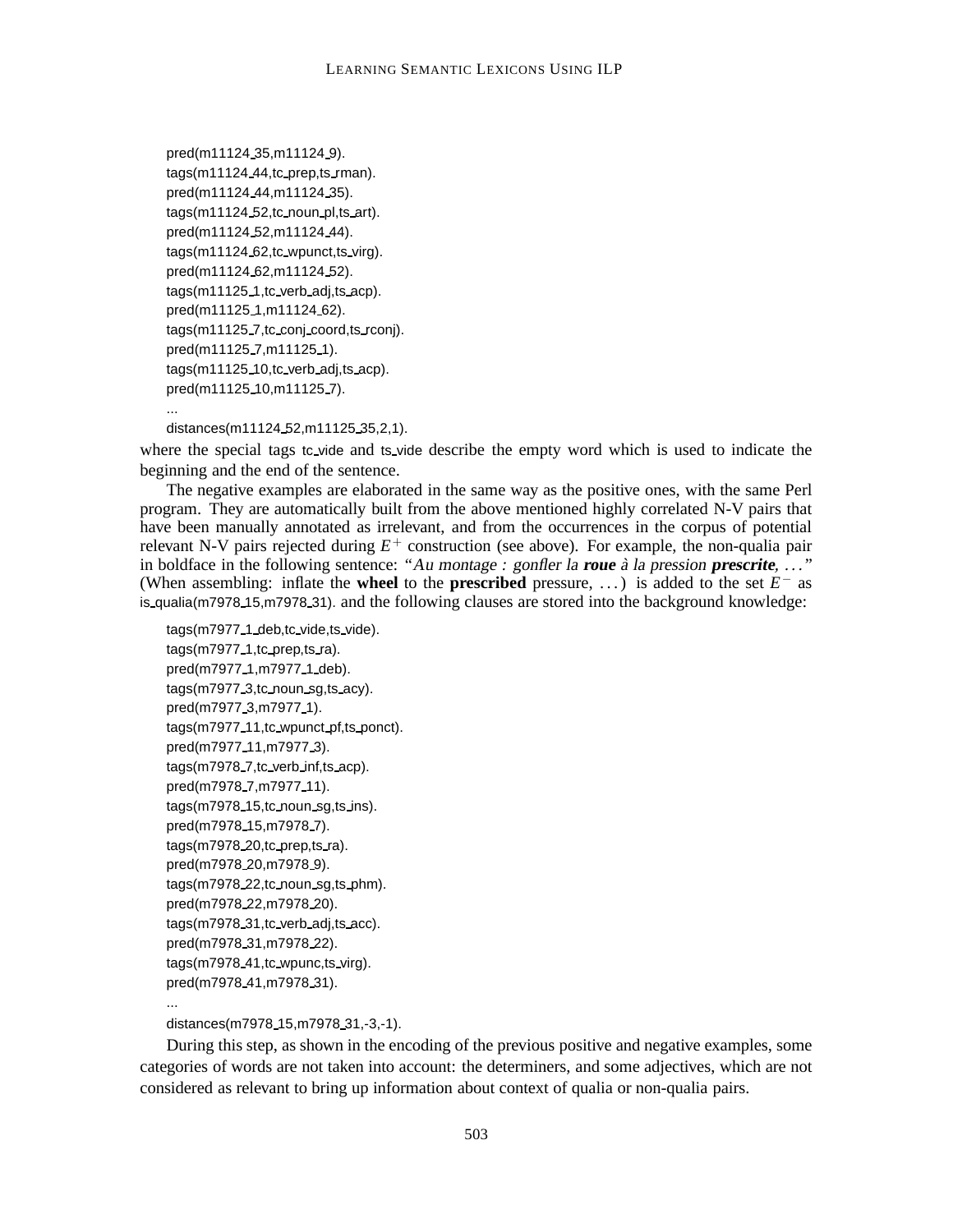```
pred(m11124_35,m11124_9).
tags(m11124 44,tc prep,ts rman).
pred(m11124 44,m11124 35).
tags(m11124_52,tc_noun_pl,ts_art).
pred(m11124 52,m11124 44).
tags(m11124_62,tc_wpunct,ts_virg).
pred(m11124 62,m11124 52).
tags(m11125_1, tc_verb_adj, ts_acp).
pred(m11125_1, m11124_62).
tags(m11125_7,tc_conj_coord,ts_rconj).
pred(m11125_7,m11125_1).
tags(m11125 10,tc verb adj,ts acp).
pred(m11125_10,m11125_7).
```
... distances(m11124 52,m11125 35,2,1).

where the special tags tc vide and ts vide describe the empty word which is used to indicate the beginning and the end of the sentence.

The negative examples are elaborated in the same way as the positive ones, with the same Perl program. They are automatically built from the above mentioned highly correlated N-V pairs that have been manually annotated as irrelevant, and from the occurrences in the corpus of potential relevant N-V pairs rejected during  $E^+$  construction (see above). For example, the non-qualia pair in boldface in the following sentence: "Au montage : gonfler la **roue** à la pression **prescrite**, ..." (When assembling: inflate the **wheel** to the **prescribed** pressure, . . . ) is added to the set *E*<sup>−</sup> as is qualia(m7978 15,m7978 31). and the following clauses are stored into the background knowledge:

```
tags(m7977 1 deb,tc vide,ts vide).
tags(m7977 1,tc prep,ts ra).
pred(m7977 1,m7977 1 deb).
tags(m7977 3,tc noun sg,ts acy).
pred(m7977 3,m7977 1).
tags(m7977 11,tc wpunct pf,ts ponct).
pred(m7977 11,m7977 3).
tags(m7978 7,tc verb inf,ts acp).
pred(m7978_7,m7977_11).
tags(m7978 15,tc noun sg,ts ins).
pred(m7978 15,m7978 7).
tags(m7978 20,tc prep,ts ra).
pred(m7978 20,m7978 9).
tags(m7978 22,tc noun sg,ts phm).
pred(m7978 22,m7978 20).
tags(m7978 31,tc verb adj,ts acc).
pred(m7978 31,m7978 22).
tags(m7978 41,tc wpunc,ts virg).
pred(m7978 41,m7978 31).
```

```
...
```
distances(m7978 15,m7978 31,-3,-1).

During this step, as shown in the encoding of the previous positive and negative examples, some categories of words are not taken into account: the determiners, and some adjectives, which are not considered as relevant to bring up information about context of qualia or non-qualia pairs.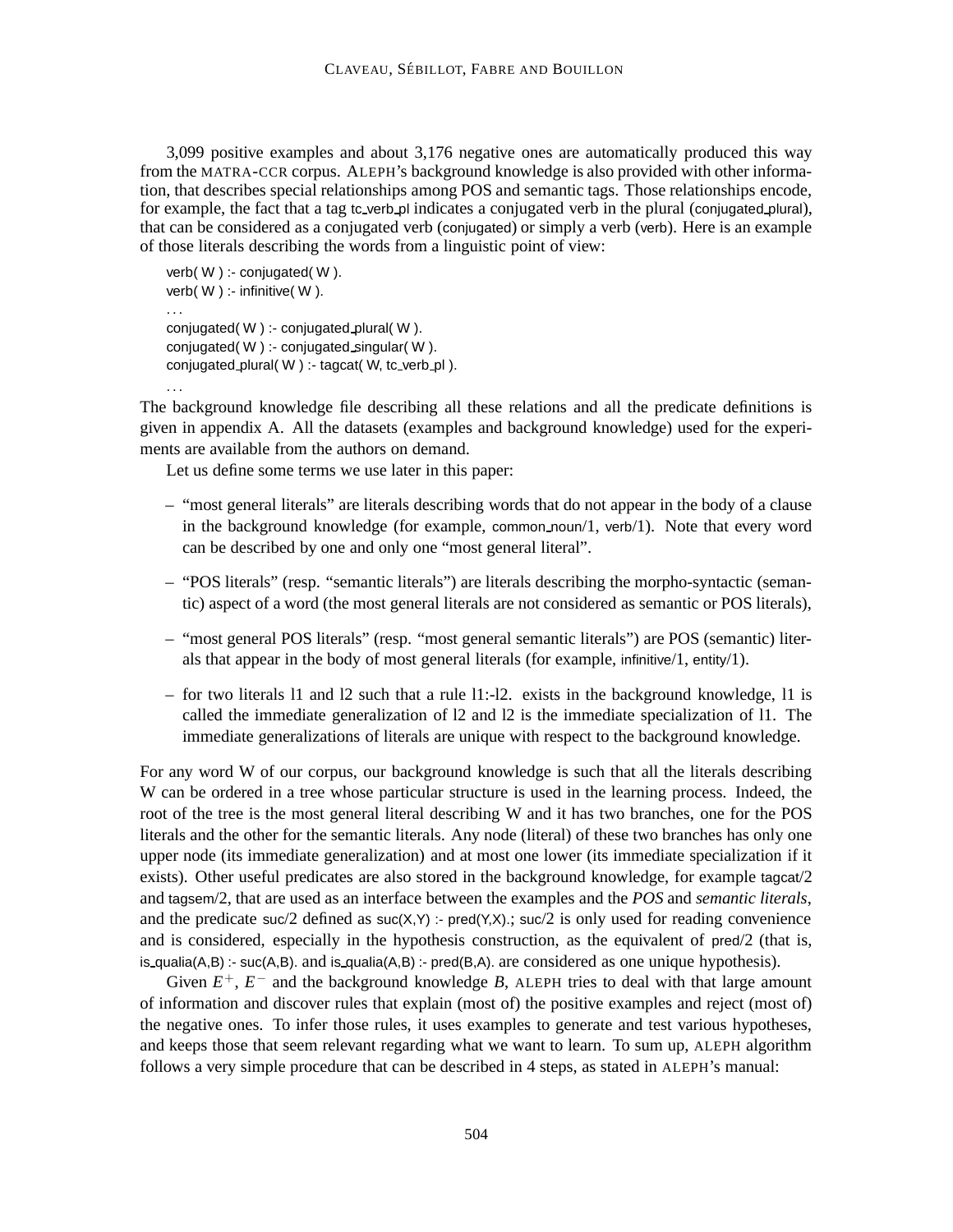3,099 positive examples and about 3,176 negative ones are automatically produced this way from the MATRA-CCR corpus. ALEPH's background knowledge is also provided with other information, that describes special relationships among POS and semantic tags. Those relationships encode, for example, the fact that a tag tc verb pl indicates a conjugated verb in the plural (conjugated plural), that can be considered as a conjugated verb (conjugated) or simply a verb (verb). Here is an example of those literals describing the words from a linguistic point of view:

```
verb(W) :- conjugated(W).
verb(W) :- infinitive(W).
...
conjugated( W ) :- conjugated plural( W ).
conjugated( W ) :- conjugated singular( W ).
conjugated plural( W ) :- tagcat( W, tc verb pl).
```
...

The background knowledge file describing all these relations and all the predicate definitions is given in appendix A. All the datasets (examples and background knowledge) used for the experiments are available from the authors on demand.

Let us define some terms we use later in this paper:

- "most general literals" are literals describing words that do not appear in the body of a clause in the background knowledge (for example, common\_noun/1, verb/1). Note that every word can be described by one and only one "most general literal".
- "POS literals" (resp. "semantic literals") are literals describing the morpho-syntactic (semantic) aspect of a word (the most general literals are not considered as semantic or POS literals),
- "most general POS literals" (resp. "most general semantic literals") are POS (semantic) literals that appear in the body of most general literals (for example, infinitive/1, entity/1).
- for two literals l1 and l2 such that a rule l1:-l2. exists in the background knowledge, l1 is called the immediate generalization of l2 and l2 is the immediate specialization of l1. The immediate generalizations of literals are unique with respect to the background knowledge.

For any word W of our corpus, our background knowledge is such that all the literals describing W can be ordered in a tree whose particular structure is used in the learning process. Indeed, the root of the tree is the most general literal describing W and it has two branches, one for the POS literals and the other for the semantic literals. Any node (literal) of these two branches has only one upper node (its immediate generalization) and at most one lower (its immediate specialization if it exists). Other useful predicates are also stored in the background knowledge, for example tagcat/2 and tagsem/2, that are used as an interface between the examples and the *POS* and *semantic literals*, and the predicate suc/2 defined as  $suc(X,Y)$ : pred $(Y,X)$ ; suc/2 is only used for reading convenience and is considered, especially in the hypothesis construction, as the equivalent of pred/2 (that is,  $is$ -qualia( $A,B$ ) :- suc( $A,B$ ). and is qualia( $A,B$ ) :- pred( $B,A$ ). are considered as one unique hypothesis).

Given  $E^+$ ,  $E^-$  and the background knowledge *B*, ALEPH tries to deal with that large amount of information and discover rules that explain (most of) the positive examples and reject (most of) the negative ones. To infer those rules, it uses examples to generate and test various hypotheses, and keeps those that seem relevant regarding what we want to learn. To sum up, ALEPH algorithm follows a very simple procedure that can be described in 4 steps, as stated in ALEPH's manual: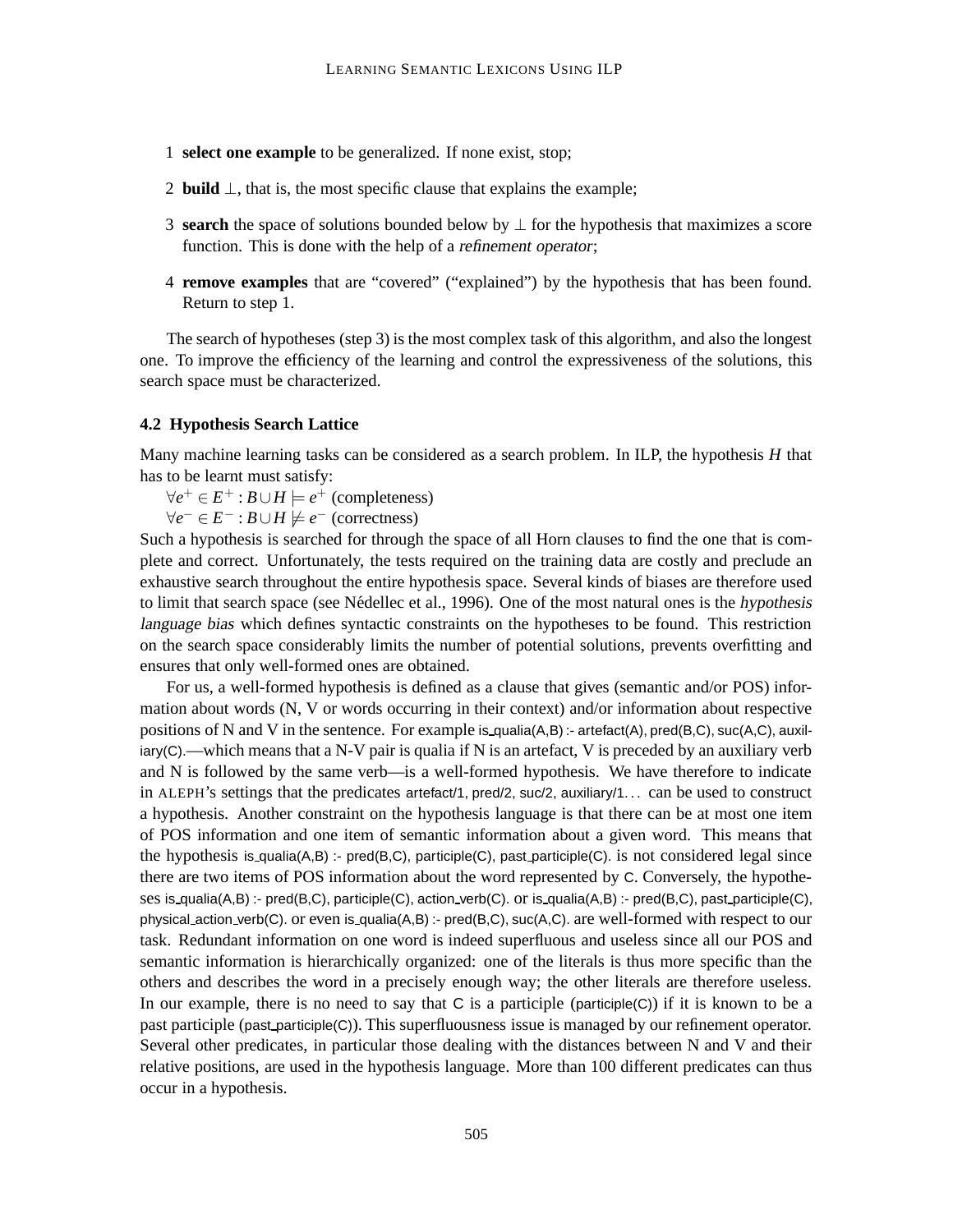- 1 **select one example** to be generalized. If none exist, stop;
- 2 **build** ⊥, that is, the most specific clause that explains the example;
- 3 **search** the space of solutions bounded below by ⊥ for the hypothesis that maximizes a score function. This is done with the help of a refinement operator;
- 4 **remove examples** that are "covered" ("explained") by the hypothesis that has been found. Return to step 1.

The search of hypotheses (step 3) is the most complex task of this algorithm, and also the longest one. To improve the efficiency of the learning and control the expressiveness of the solutions, this search space must be characterized.

#### **4.2 Hypothesis Search Lattice**

Many machine learning tasks can be considered as a search problem. In ILP, the hypothesis *H* that has to be learnt must satisfy:

 $∀e^+ ∈ E^+ : B ∪ H ⊨ e^+$  (completeness)

 $∀e<sup>-</sup> ∈ E<sup>-</sup> : B ∪ H ⊭ e<sup>-</sup>$  (correctness)

Such a hypothesis is searched for through the space of all Horn clauses to find the one that is complete and correct. Unfortunately, the tests required on the training data are costly and preclude an exhaustive search throughout the entire hypothesis space. Several kinds of biases are therefore used to limit that search space (see Nédellec et al., 1996). One of the most natural ones is the hypothesis language bias which defines syntactic constraints on the hypotheses to be found. This restriction on the search space considerably limits the number of potential solutions, prevents overfitting and ensures that only well-formed ones are obtained.

For us, a well-formed hypothesis is defined as a clause that gives (semantic and/or POS) information about words (N, V or words occurring in their context) and/or information about respective positions of N and V in the sentence. For example is qualia( $A,B$ ): - artefact( $A$ ), pred( $B,C$ ), suc( $A,C$ ), auxil $i$ ary(C).—which means that a N-V pair is qualia if N is an artefact, V is preceded by an auxiliary verb and N is followed by the same verb—is a well-formed hypothesis. We have therefore to indicate in ALEPH's settings that the predicates artefact/1, pred/2, suc/2, auxiliary/1... can be used to construct a hypothesis. Another constraint on the hypothesis language is that there can be at most one item of POS information and one item of semantic information about a given word. This means that the hypothesis is qualia(A,B) :- pred(B,C), participle(C), past participle(C). is not considered legal since there are two items of POS information about the word represented by C. Conversely, the hypotheses is\_qualia(A,B) :- pred(B,C), participle(C), action\_verb(C). or is\_qualia(A,B) :- pred(B,C), past\_participle(C), physical action verb(C). or even is qualia(A,B) :- pred(B,C), suc(A,C). are well-formed with respect to our task. Redundant information on one word is indeed superfluous and useless since all our POS and semantic information is hierarchically organized: one of the literals is thus more specific than the others and describes the word in a precisely enough way; the other literals are therefore useless. In our example, there is no need to say that  $C$  is a participle (participle $(C)$ ) if it is known to be a past participle (past participle(C)). This superfluousness issue is managed by our refinement operator. Several other predicates, in particular those dealing with the distances between N and V and their relative positions, are used in the hypothesis language. More than 100 different predicates can thus occur in a hypothesis.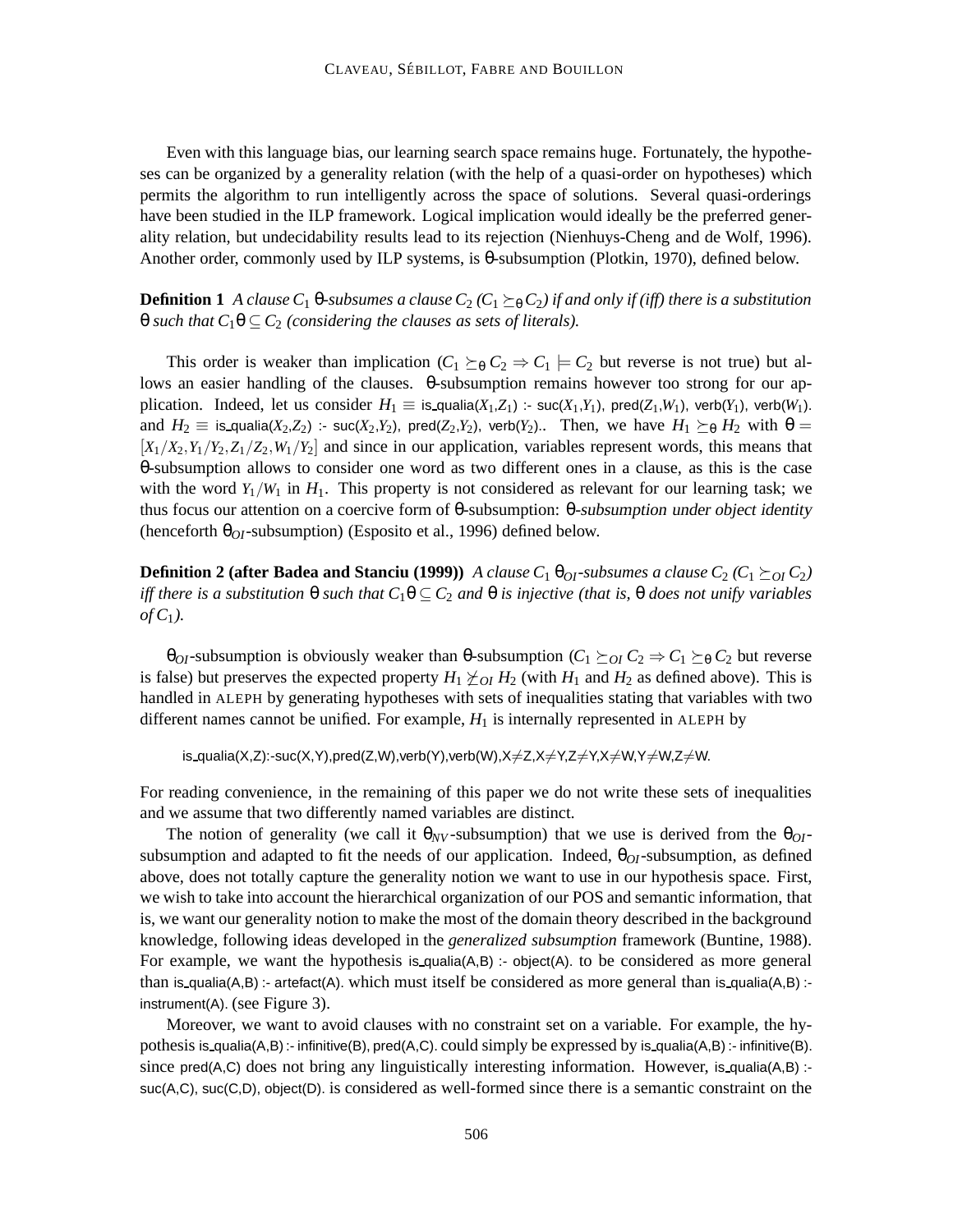Even with this language bias, our learning search space remains huge. Fortunately, the hypotheses can be organized by a generality relation (with the help of a quasi-order on hypotheses) which permits the algorithm to run intelligently across the space of solutions. Several quasi-orderings have been studied in the ILP framework. Logical implication would ideally be the preferred generality relation, but undecidability results lead to its rejection (Nienhuys-Cheng and de Wolf, 1996). Another order, commonly used by ILP systems, is θ-subsumption (Plotkin, 1970), defined below.

**Definition 1** *A clause*  $C_1$  θ-subsumes a clause  $C_2$  ( $C_1 \succeq_0 C_2$ ) if and only if (iff) there is a substitution θ *such that*  $C_1$ θ ⊆  $C_2$  *(considering the clauses as sets of literals).* 

This order is weaker than implication  $(C_1 \succeq_0 C_2 \Rightarrow C_1 \models C_2$  but reverse is not true) but allows an easier handling of the clauses. θ-subsumption remains however too strong for our application. Indeed, let us consider  $H_1 \equiv \text{is\_qualia}(X_1, Z_1)$  :- suc( $X_1, Y_1$ ), pred( $Z_1, W_1$ ), verb( $Y_1$ ), verb( $W_1$ ). and  $H_2 \equiv$  is qualia( $X_2, Z_2$ ) :- suc( $X_2, Y_2$ ), pred( $Z_2, Y_2$ ), verb( $Y_2$ ).. Then, we have  $H_1 \succeq_{\theta} H_2$  with  $\theta =$  $[X_1/X_2, Y_1/Y_2, Z_1/Z_2, W_1/Y_2]$  and since in our application, variables represent words, this means that θ-subsumption allows to consider one word as two different ones in a clause, as this is the case with the word  $Y_1/W_1$  in  $H_1$ . This property is not considered as relevant for our learning task; we thus focus our attention on a coercive form of θ-subsumption: θ-subsumption under object identity (henceforth θ*OI*-subsumption) (Esposito et al., 1996) defined below.

**Definition 2 (after Badea and Stanciu (1999))** *A clause*  $C_1 \theta_{0I}$ -subsumes a clause  $C_2$  ( $C_1 \succeq_{0I} C_2$ ) *iff there is a substitution* θ *such that C*1θ ⊆ *C*<sup>2</sup> *and* θ *is injective (that is,* θ *does not unify variables of C*1*).*

θ<sub>*OI*</sub>-subsumption is obviously weaker than θ-subsumption (*C*<sub>1</sub>  $\succeq$ <sub>*OI*</sub> *C*<sub>2</sub>  $\Rightarrow$  *C*<sub>1</sub>  $\succeq$ <sub>θ</sub> *C*<sub>2</sub> but reverse is false) but preserves the expected property  $H_1 \not\geq_{OI} H_2$  (with  $H_1$  and  $H_2$  as defined above). This is handled in ALEPH by generating hypotheses with sets of inequalities stating that variables with two different names cannot be unified. For example,  $H_1$  is internally represented in ALEPH by

is\_qualia(X,Z):-suc(X,Y),pred(Z,W),verb(Y),verb(W),X≠Z,X≠Y,Z≠Y,X≠W,Y≠W,Z≠W.

For reading convenience, in the remaining of this paper we do not write these sets of inequalities and we assume that two differently named variables are distinct.

The notion of generality (we call it  $\theta_{NV}$ -subsumption) that we use is derived from the  $\theta_{OI}$ subsumption and adapted to fit the needs of our application. Indeed,  $\theta_{OI}$ -subsumption, as defined above, does not totally capture the generality notion we want to use in our hypothesis space. First, we wish to take into account the hierarchical organization of our POS and semantic information, that is, we want our generality notion to make the most of the domain theory described in the background knowledge, following ideas developed in the *generalized subsumption* framework (Buntine, 1988). For example, we want the hypothesis is qualia( $A, B$ ) :- object( $A$ ). to be considered as more general than is qualia( $A, B$ ) :- artefact( $A$ ). which must itself be considered as more general than is qualia( $A, B$ ) :instrument(A). (see Figure 3).

Moreover, we want to avoid clauses with no constraint set on a variable. For example, the hypothesis is qualia(A,B) :- infinitive(B), pred(A,C). could simply be expressed by is qualia(A,B) :- infinitive(B). since pred(A,C) does not bring any linguistically interesting information. However, is qualia(A,B) :suc(A,C), suc(C,D), object(D). is considered as well-formed since there is a semantic constraint on the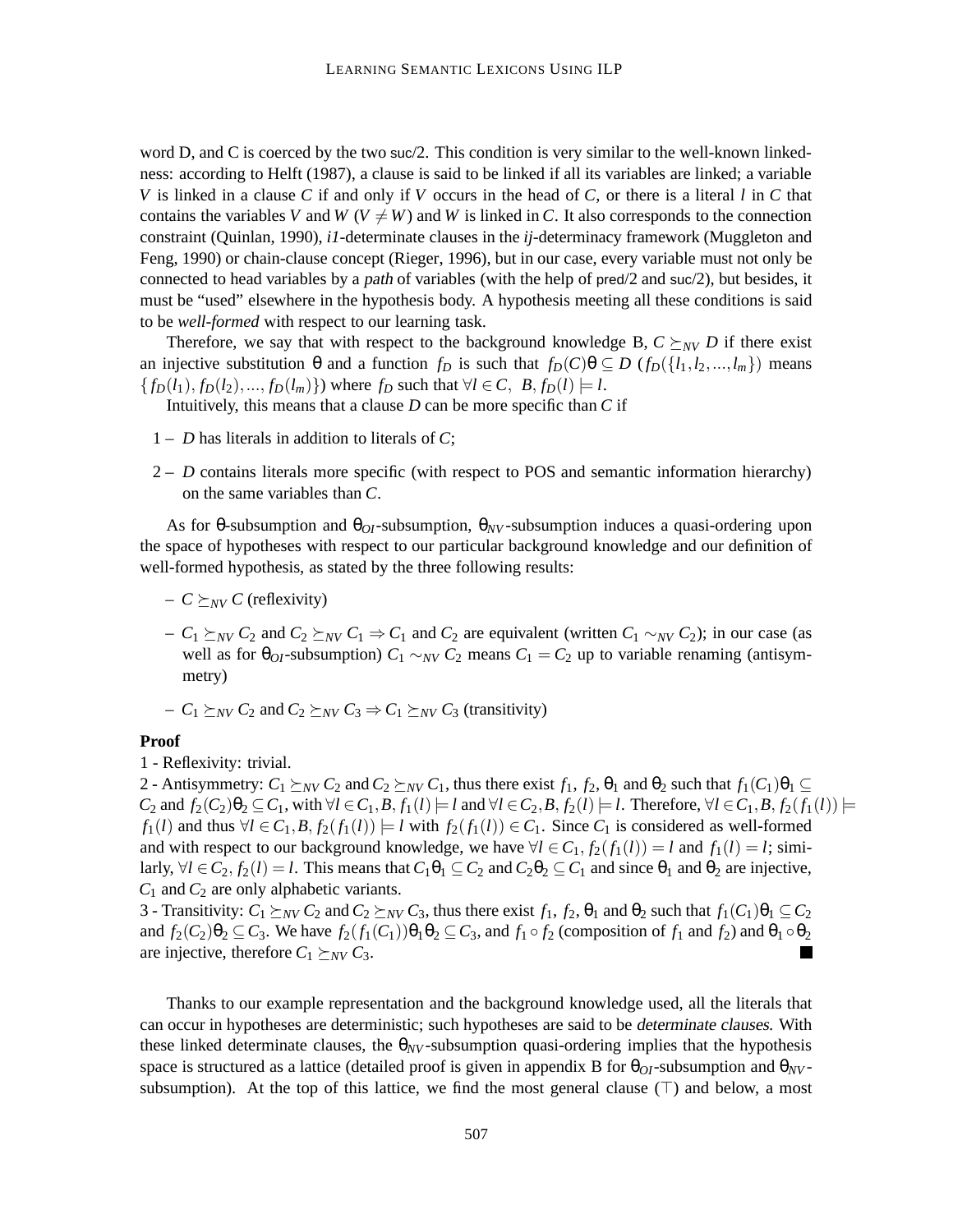word D, and C is coerced by the two suc/2. This condition is very similar to the well-known linkedness: according to Helft (1987), a clause is said to be linked if all its variables are linked; a variable *V* is linked in a clause *C* if and only if *V* occurs in the head of *C*, or there is a literal *l* in *C* that contains the variables *V* and *W* ( $V \neq W$ ) and *W* is linked in *C*. It also corresponds to the connection constraint (Quinlan, 1990), *i1*-determinate clauses in the *ij*-determinacy framework (Muggleton and Feng, 1990) or chain-clause concept (Rieger, 1996), but in our case, every variable must not only be connected to head variables by a path of variables (with the help of pred/2 and suc/2), but besides, it must be "used" elsewhere in the hypothesis body. A hypothesis meeting all these conditions is said to be *well-formed* with respect to our learning task.

Therefore, we say that with respect to the background knowledge B,  $C \succeq_{NV} D$  if there exist an injective substitution  $\theta$  and a function  $f_D$  is such that  $f_D(C)\theta \subseteq D$  ( $f_D({l_1, l_2, ..., l_m})$ ) means  ${f_D(l_1), f_D(l_2),..., f_D(l_m)}$  where  $f_D$  such that  $\forall l \in C$ ,  $B, f_D(l) \models l$ .

Intuitively, this means that a clause *D* can be more specific than *C* if

- 1 *D* has literals in addition to literals of *C*;
- 2 *D* contains literals more specific (with respect to POS and semantic information hierarchy) on the same variables than *C*.

As for  $\theta$ -subsumption and  $\theta_{OI}$ -subsumption,  $\theta_{NV}$ -subsumption induces a quasi-ordering upon the space of hypotheses with respect to our particular background knowledge and our definition of well-formed hypothesis, as stated by the three following results:

- $-C \succeq_{NV} C$  (reflexivity)
- $-C_1$   $\succeq_{NV} C_2$  and  $C_2$   $\succeq_{NV} C_1$   $\Rightarrow$   $C_1$  and  $C_2$  are equivalent (written  $C_1 \sim_{NV} C_2$ ); in our case (as well as for  $θ_{OI}$ -subsumption)  $C_1$  ∼*NV*  $C_2$  means  $C_1 = C_2$  up to variable renaming (antisymmetry)
- $-C_1 \succeq_{NV} C_2$  and  $C_2 \succeq_{NV} C_3 \Rightarrow C_1 \succeq_{NV} C_3$  (transitivity)

#### **Proof**

1 - Reflexivity: trivial.

2 - Antisymmetry:  $C_1 \succeq_{NV} C_2$  and  $C_2 \succeq_{NV} C_1$ , thus there exist  $f_1, f_2, \theta_1$  and  $\theta_2$  such that  $f_1(C_1)\theta_1 \subseteq$  $C_2$  and  $f_2(C_2)\theta_2 \subseteq C_1$ , with  $\forall l \in C_1, B, f_1(l) \models l$  and  $\forall l \in C_2, B, f_2(l) \models l$ . Therefore,  $\forall l \in C_1, B, f_2(f_1(l)) \models l$ *f*<sub>1</sub>(*l*) and thus ∀*l* ∈ *C*<sub>1</sub>, *B*, *f*<sub>2</sub>(*f*<sub>1</sub>(*l*))  $\models$  *l* with *f*<sub>2</sub>(*f*<sub>1</sub>(*l*)) ∈ *C*<sub>1</sub>. Since *C*<sub>1</sub> is considered as well-formed and with respect to our background knowledge, we have  $\forall l \in C_1, f_2(f_1(l)) = l$  and  $f_1(l) = l$ ; similarly,  $\forall l \in C_2$ ,  $f_2(l) = l$ . This means that  $C_1 \theta_1 \subseteq C_2$  and  $C_2 \theta_2 \subseteq C_1$  and since  $\theta_1$  and  $\theta_2$  are injective,  $C_1$  and  $C_2$  are only alphabetic variants.

3 - Transitivity:  $C_1 \succeq_{NV} C_2$  and  $C_2 \succeq_{NV} C_3$ , thus there exist  $f_1, f_2, \theta_1$  and  $\theta_2$  such that  $f_1(C_1)\theta_1 \subseteq C_2$ and  $f_2(C_2)\theta_2 \subseteq C_3$ . We have  $f_2(f_1(C_1))\theta_1\theta_2 \subseteq C_3$ , and  $f_1 \circ f_2$  (composition of  $f_1$  and  $f_2$ ) and  $\theta_1 \circ \theta_2$ are injective, therefore  $C_1 \succeq_{NV} C_3$ .

Thanks to our example representation and the background knowledge used, all the literals that can occur in hypotheses are deterministic; such hypotheses are said to be determinate clauses. With these linked determinate clauses, the  $\theta_{\text{NV}}$ -subsumption quasi-ordering implies that the hypothesis space is structured as a lattice (detailed proof is given in appendix B for  $\theta_{OI}$ -subsumption and  $\theta_{NV}$ subsumption). At the top of this lattice, we find the most general clause  $(T)$  and below, a most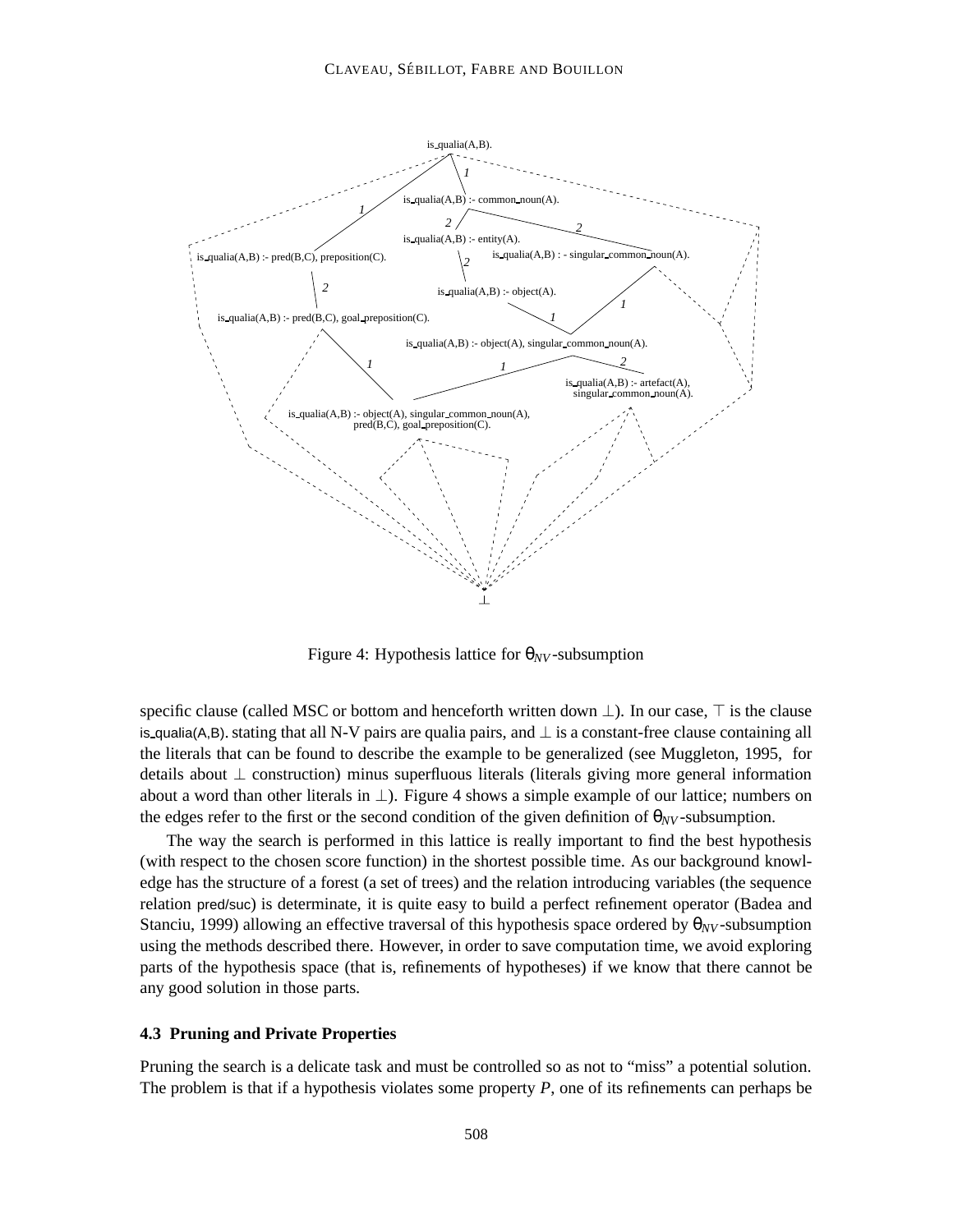

Figure 4: Hypothesis lattice for  $\theta_{NV}$ -subsumption

specific clause (called MSC or bottom and henceforth written down  $\perp$ ). In our case,  $\top$  is the clause is qualia(A,B). stating that all N-V pairs are qualia pairs, and  $\perp$  is a constant-free clause containing all the literals that can be found to describe the example to be generalized (see Muggleton, 1995, for details about ⊥ construction) minus superfluous literals (literals giving more general information about a word than other literals in  $\perp$ ). Figure 4 shows a simple example of our lattice; numbers on the edges refer to the first or the second condition of the given definition of  $\theta_{\text{MV}}$ -subsumption.

The way the search is performed in this lattice is really important to find the best hypothesis (with respect to the chosen score function) in the shortest possible time. As our background knowledge has the structure of a forest (a set of trees) and the relation introducing variables (the sequence relation pred/suc) is determinate, it is quite easy to build a perfect refinement operator (Badea and Stanciu, 1999) allowing an effective traversal of this hypothesis space ordered by  $\theta_{NV}$ -subsumption using the methods described there. However, in order to save computation time, we avoid exploring parts of the hypothesis space (that is, refinements of hypotheses) if we know that there cannot be any good solution in those parts.

### **4.3 Pruning and Private Properties**

Pruning the search is a delicate task and must be controlled so as not to "miss" a potential solution. The problem is that if a hypothesis violates some property *P*, one of its refinements can perhaps be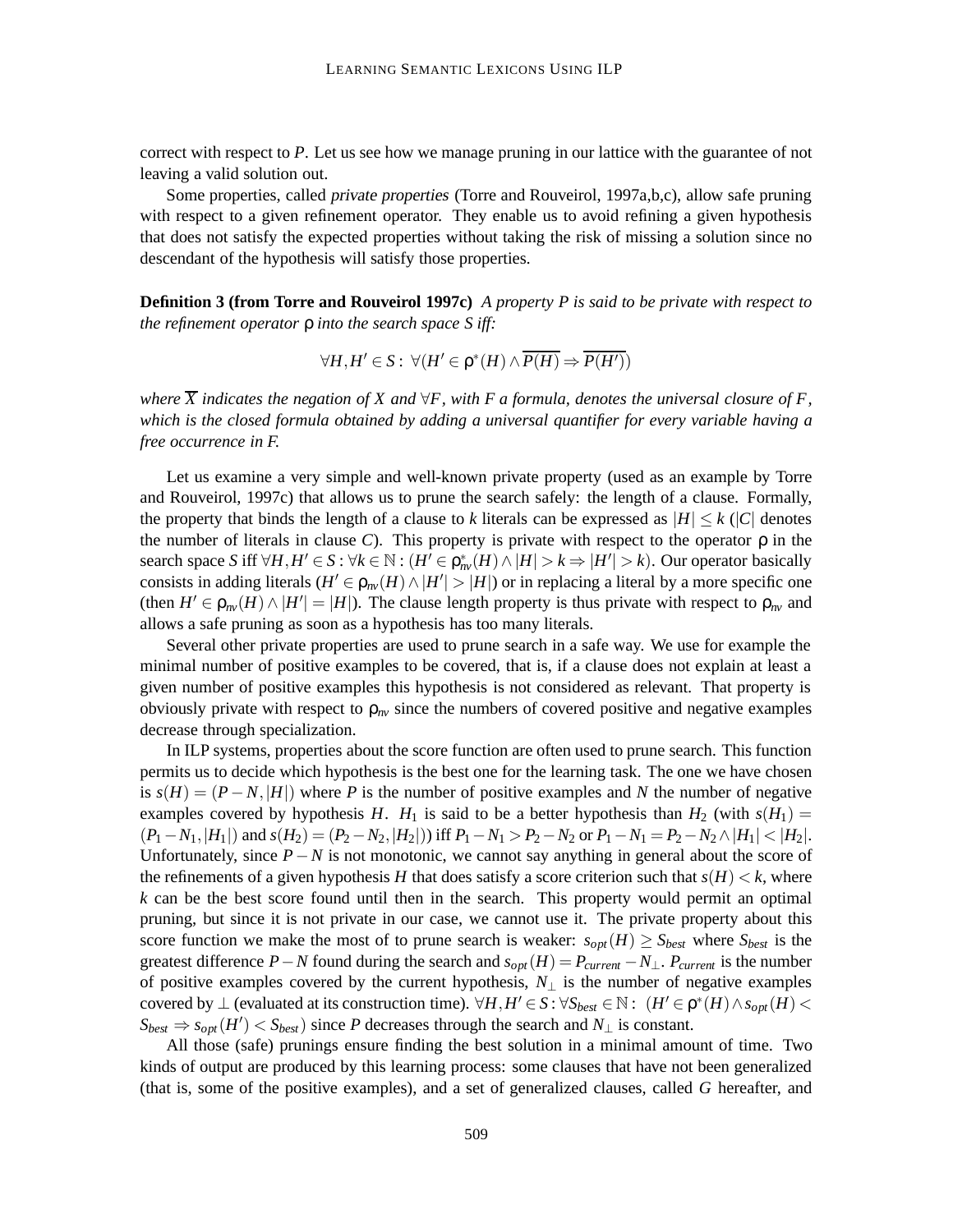correct with respect to *P*. Let us see how we manage pruning in our lattice with the guarantee of not leaving a valid solution out.

Some properties, called private properties (Torre and Rouveirol, 1997a,b,c), allow safe pruning with respect to a given refinement operator. They enable us to avoid refining a given hypothesis that does not satisfy the expected properties without taking the risk of missing a solution since no descendant of the hypothesis will satisfy those properties.

**Definition 3 (from Torre and Rouveirol 1997c)** *A property P is said to be private with respect to the refinement operator* ρ *into the search space S iff:*

$$
\forall H, H' \in S: \ \forall (H' \in \rho^*(H) \land \overline{P(H)} \Rightarrow \overline{P(H')})
$$

*where*  $\overline{X}$  indicates the negation of X and  $\forall F$ , with F a formula, denotes the universal closure of F, *which is the closed formula obtained by adding a universal quantifier for every variable having a free occurrence in F.*

Let us examine a very simple and well-known private property (used as an example by Torre and Rouveirol, 1997c) that allows us to prune the search safely: the length of a clause. Formally, the property that binds the length of a clause to *k* literals can be expressed as  $|H| \leq k$  (|*C*| denotes the number of literals in clause *C*). This property is private with respect to the operator  $\rho$  in the search space *S* iff  $\forall H, H' \in S : \forall k \in \mathbb{N} : (H' \in \rho_{nv}^*(H) \land |H| > k \Rightarrow |H'| > k)$ . Our operator basically consists in adding literals  $(H' \in \rho_{nv}(H) \wedge |H'| > |H|)$  or in replacing a literal by a more specific one (then  $H' \in \rho_{nv}(H) \wedge |H'| = |H|$ ). The clause length property is thus private with respect to  $\rho_{nv}$  and allows a safe pruning as soon as a hypothesis has too many literals.

Several other private properties are used to prune search in a safe way. We use for example the minimal number of positive examples to be covered, that is, if a clause does not explain at least a given number of positive examples this hypothesis is not considered as relevant. That property is obviously private with respect to  $\rho_{nv}$  since the numbers of covered positive and negative examples decrease through specialization.

In ILP systems, properties about the score function are often used to prune search. This function permits us to decide which hypothesis is the best one for the learning task. The one we have chosen is  $s(H)=(P-N, |H|)$  where *P* is the number of positive examples and *N* the number of negative examples covered by hypothesis *H*. *H*<sub>1</sub> is said to be a better hypothesis than *H*<sub>2</sub> (with  $s(H_1)$  =  $(P_1 - N_1, |H_1|)$  and  $s(H_2) = (P_2 - N_2, |H_2|)$ ) iff  $P_1 - N_1 > P_2 - N_2$  or  $P_1 - N_1 = P_2 - N_2 \wedge |H_1| < |H_2|$ . Unfortunately, since  $P - N$  is not monotonic, we cannot say anything in general about the score of the refinements of a given hypothesis *H* that does satisfy a score criterion such that  $s(H) < k$ , where *k* can be the best score found until then in the search. This property would permit an optimal pruning, but since it is not private in our case, we cannot use it. The private property about this score function we make the most of to prune search is weaker:  $s_{opt}(H) \geq S_{best}$  where  $S_{best}$  is the greatest difference *P*−*N* found during the search and  $s_{opt}(H) = P_{current} - N_{\perp}$ .  $P_{current}$  is the number of positive examples covered by the current hypothesis, *N*<sup>⊥</sup> is the number of negative examples covered by  $\perp$  (evaluated at its construction time).  $\forall H, H' \in S : \forall S_{best} \in \mathbb{N} : (H' \in \rho^*(H) \land s_{opt}(H)$  $S_{best} \Rightarrow s_{opt}(H') < S_{best}$ ) since *P* decreases through the search and  $N_{\perp}$  is constant.

All those (safe) prunings ensure finding the best solution in a minimal amount of time. Two kinds of output are produced by this learning process: some clauses that have not been generalized (that is, some of the positive examples), and a set of generalized clauses, called <sup>G</sup> hereafter, and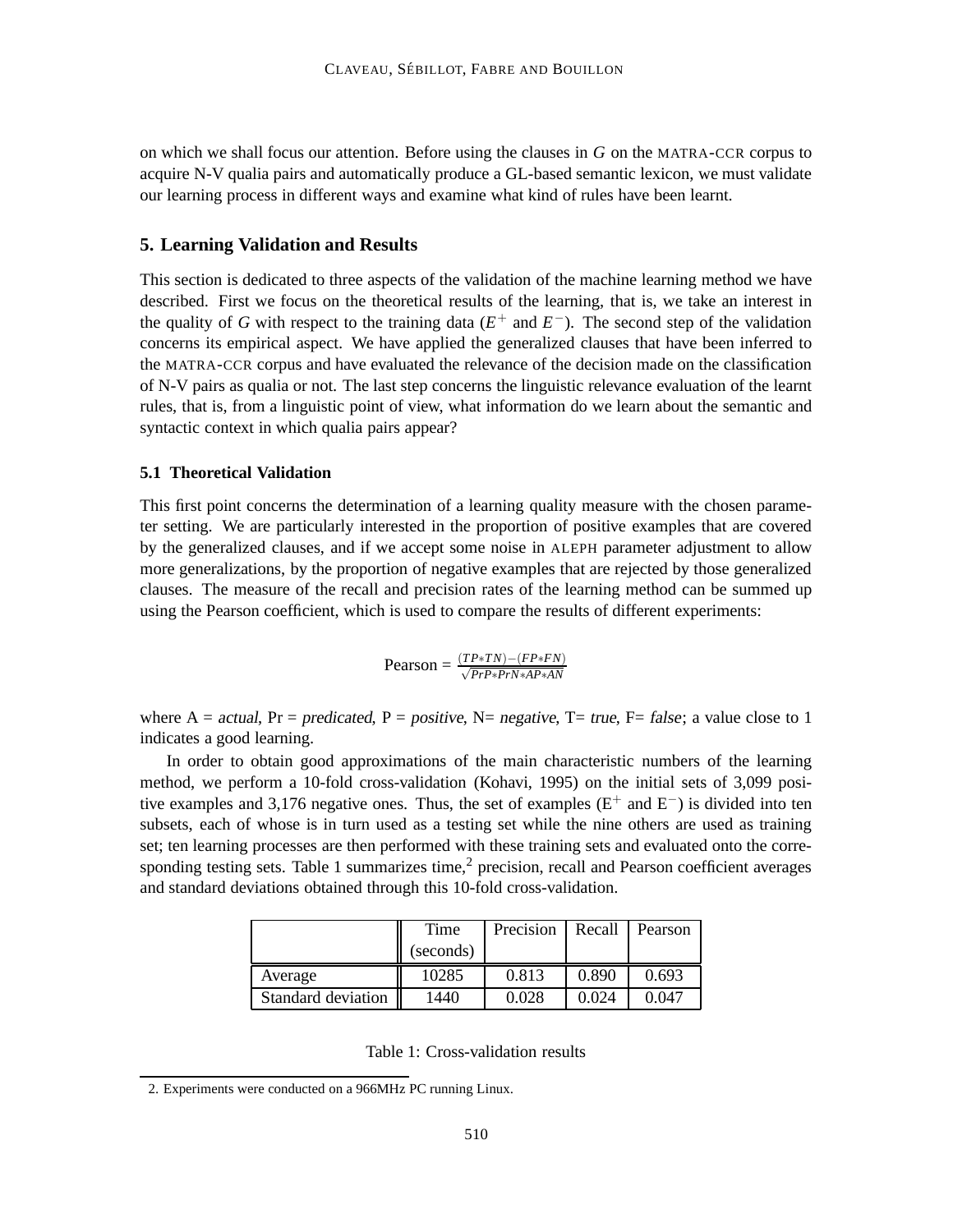on which we shall focus our attention. Before using the clauses in  $G$  on the MATRA-CCR corpus to acquire N-V qualia pairs and automatically produce a GL-based semantic lexicon, we must validate our learning process in different ways and examine what kind of rules have been learnt.

## **5. Learning Validation and Results**

This section is dedicated to three aspects of the validation of the machine learning method we have described. First we focus on the theoretical results of the learning, that is, we take an interest in the quality of *G* with respect to the training data ( $E^+$  and  $E^-$ ). The second step of the validation concerns its empirical aspect. We have applied the generalized clauses that have been inferred to the MATRA-CCR corpus and have evaluated the relevance of the decision made on the classification of N-V pairs as qualia or not. The last step concerns the linguistic relevance evaluation of the learnt rules, that is, from a linguistic point of view, what information do we learn about the semantic and syntactic context in which qualia pairs appear?

## **5.1 Theoretical Validation**

This first point concerns the determination of a learning quality measure with the chosen parameter setting. We are particularly interested in the proportion of positive examples that are covered by the generalized clauses, and if we accept some noise in ALEPH parameter adjustment to allow more generalizations, by the proportion of negative examples that are rejected by those generalized clauses. The measure of the recall and precision rates of the learning method can be summed up using the Pearson coefficient, which is used to compare the results of different experiments:

Pearson = 
$$
\frac{(TP * TN) - (FP * FN)}{\sqrt{PrP * PrN * AP * AN}}
$$

where A = actual, Pr = predicated, P = positive, N = negative, T = true, F = false; a value close to 1 indicates a good learning.

In order to obtain good approximations of the main characteristic numbers of the learning method, we perform a 10-fold cross-validation (Kohavi, 1995) on the initial sets of 3,099 positive examples and 3,176 negative ones. Thus, the set of examples ( $E^+$  and  $E^-$ ) is divided into ten subsets, each of whose is in turn used as a testing set while the nine others are used as training set; ten learning processes are then performed with these training sets and evaluated onto the corresponding testing sets. Table 1 summarizes time,<sup>2</sup> precision, recall and Pearson coefficient averages and standard deviations obtained through this 10-fold cross-validation.

|                    | Time      | Precision | Recall | Pearson |
|--------------------|-----------|-----------|--------|---------|
|                    | (seconds) |           |        |         |
| Average            | 10285     | 0.813     | 0.890  | 0.693   |
| Standard deviation | 1440      | 0.028     | 0.024  | 0.047   |

Table 1: Cross-validation results

<sup>2.</sup> Experiments were conducted on a 966MHz PC running Linux.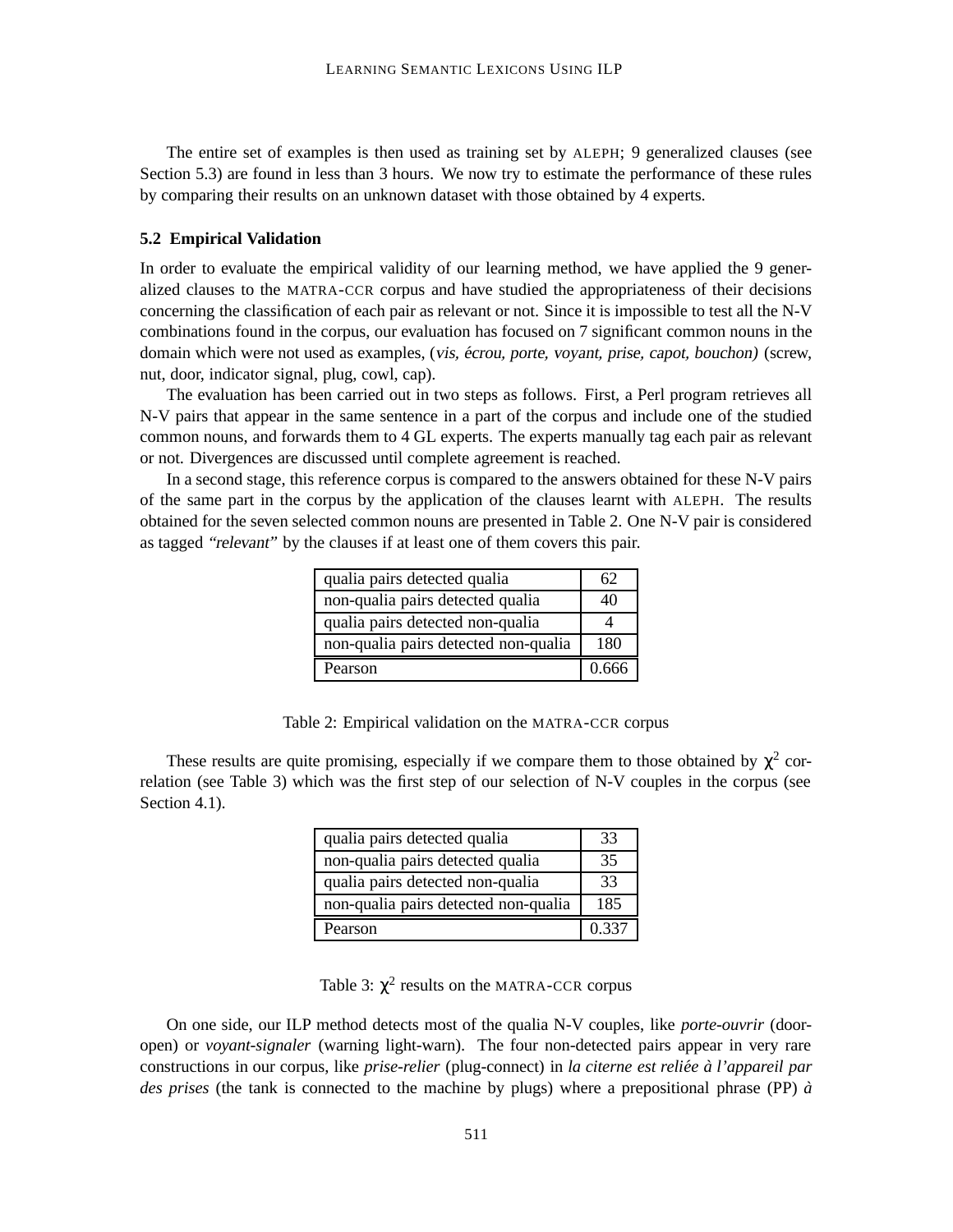The entire set of examples is then used as training set by ALEPH; 9 generalized clauses (see Section 5.3) are found in less than 3 hours. We now try to estimate the performance of these rules by comparing their results on an unknown dataset with those obtained by 4 experts.

## **5.2 Empirical Validation**

In order to evaluate the empirical validity of our learning method, we have applied the 9 generalized clauses to the MATRA-CCR corpus and have studied the appropriateness of their decisions concerning the classification of each pair as relevant or not. Since it is impossible to test all the N-V combinations found in the corpus, our evaluation has focused on 7 significant common nouns in the domain which were not used as examples, *(vis, écrou, porte, voyant, prise, capot, bouchon) (screw,* nut, door, indicator signal, plug, cowl, cap).

The evaluation has been carried out in two steps as follows. First, a Perl program retrieves all N-V pairs that appear in the same sentence in a part of the corpus and include one of the studied common nouns, and forwards them to 4 GL experts. The experts manually tag each pair as relevant or not. Divergences are discussed until complete agreement is reached.

In a second stage, this reference corpus is compared to the answers obtained for these N-V pairs of the same part in the corpus by the application of the clauses learnt with ALEPH. The results obtained for the seven selected common nouns are presented in Table 2. One N-V pair is considered as tagged "relevant" by the clauses if at least one of them covers this pair.

| qualia pairs detected qualia         | 62    |
|--------------------------------------|-------|
| non-qualia pairs detected qualia     | 40    |
| qualia pairs detected non-qualia     |       |
| non-qualia pairs detected non-qualia | 180   |
| Pearson                              | በ 666 |

Table 2: Empirical validation on the MATRA-CCR corpus

These results are quite promising, especially if we compare them to those obtained by  $\chi^2$  correlation (see Table 3) which was the first step of our selection of N-V couples in the corpus (see Section 4.1).

| qualia pairs detected qualia         | 33    |
|--------------------------------------|-------|
| non-qualia pairs detected qualia     | 35    |
| qualia pairs detected non-qualia     | 33    |
| non-qualia pairs detected non-qualia | 185   |
| Pearson                              | 0.337 |

Table 3:  $\chi^2$  results on the MATRA-CCR corpus

On one side, our ILP method detects most of the qualia N-V couples, like *porte-ouvrir* (dooropen) or *voyant-signaler* (warning light-warn). The four non-detected pairs appear in very rare constructions in our corpus, like *prise-relier* (plug-connect) in *la citerne est reliee´ a l'appareil par ` des prises* (the tank is connected to the machine by plugs) where a prepositional phrase (PP) *a`*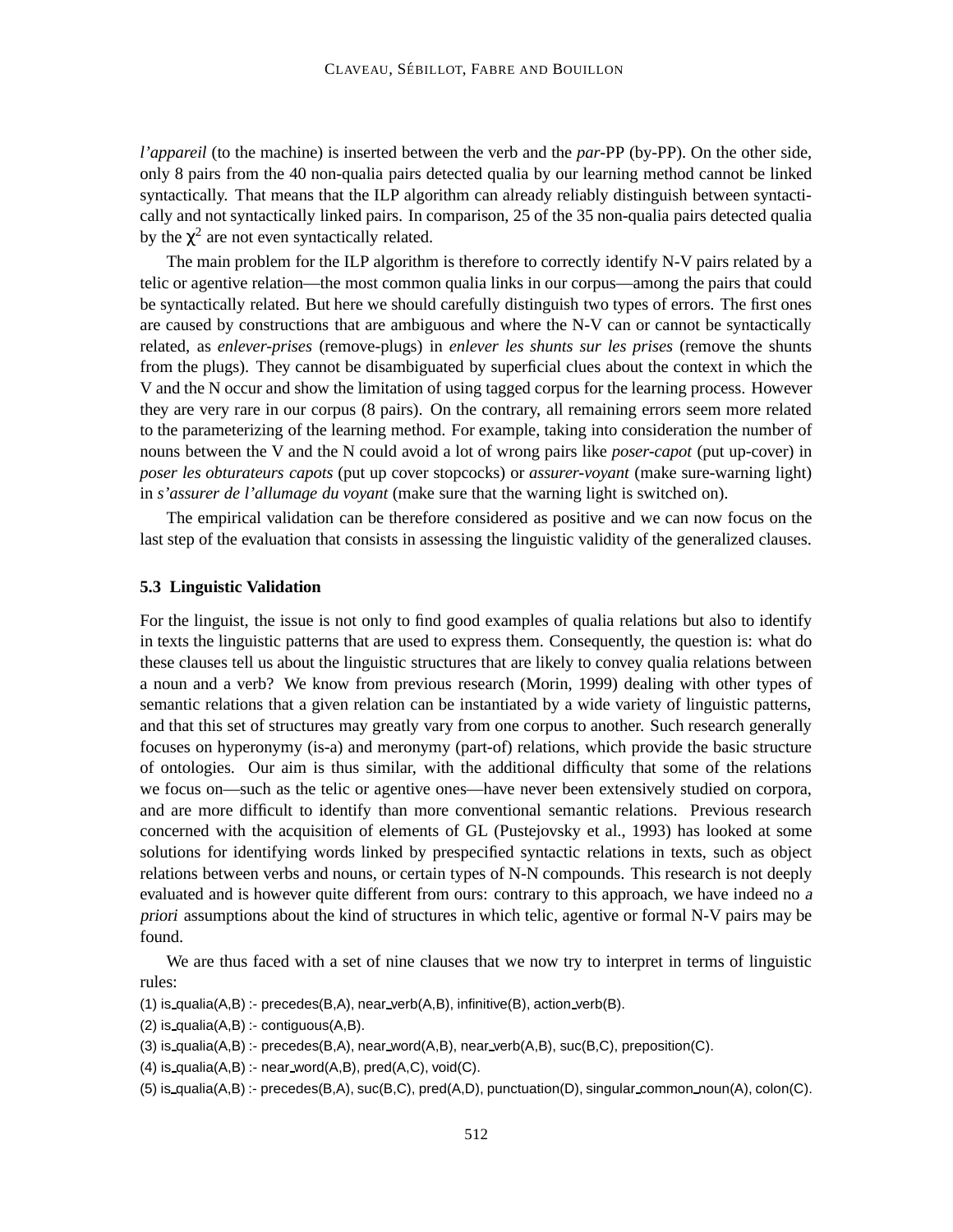*l'appareil* (to the machine) is inserted between the verb and the *par*-PP (by-PP). On the other side, only 8 pairs from the 40 non-qualia pairs detected qualia by our learning method cannot be linked syntactically. That means that the ILP algorithm can already reliably distinguish between syntactically and not syntactically linked pairs. In comparison, 25 of the 35 non-qualia pairs detected qualia by the  $\chi^2$  are not even syntactically related.

The main problem for the ILP algorithm is therefore to correctly identify N-V pairs related by a telic or agentive relation—the most common qualia links in our corpus—among the pairs that could be syntactically related. But here we should carefully distinguish two types of errors. The first ones are caused by constructions that are ambiguous and where the N-V can or cannot be syntactically related, as *enlever-prises* (remove-plugs) in *enlever les shunts sur les prises* (remove the shunts from the plugs). They cannot be disambiguated by superficial clues about the context in which the V and the N occur and show the limitation of using tagged corpus for the learning process. However they are very rare in our corpus (8 pairs). On the contrary, all remaining errors seem more related to the parameterizing of the learning method. For example, taking into consideration the number of nouns between the V and the N could avoid a lot of wrong pairs like *poser-capot* (put up-cover) in *poser les obturateurs capots* (put up cover stopcocks) or *assurer-voyant* (make sure-warning light) in *s'assurer de l'allumage du voyant* (make sure that the warning light is switched on).

The empirical validation can be therefore considered as positive and we can now focus on the last step of the evaluation that consists in assessing the linguistic validity of the generalized clauses.

#### **5.3 Linguistic Validation**

For the linguist, the issue is not only to find good examples of qualia relations but also to identify in texts the linguistic patterns that are used to express them. Consequently, the question is: what do these clauses tell us about the linguistic structures that are likely to convey qualia relations between a noun and a verb? We know from previous research (Morin, 1999) dealing with other types of semantic relations that a given relation can be instantiated by a wide variety of linguistic patterns, and that this set of structures may greatly vary from one corpus to another. Such research generally focuses on hyperonymy (is-a) and meronymy (part-of) relations, which provide the basic structure of ontologies. Our aim is thus similar, with the additional difficulty that some of the relations we focus on—such as the telic or agentive ones—have never been extensively studied on corpora, and are more difficult to identify than more conventional semantic relations. Previous research concerned with the acquisition of elements of GL (Pustejovsky et al., 1993) has looked at some solutions for identifying words linked by prespecified syntactic relations in texts, such as object relations between verbs and nouns, or certain types of N-N compounds. This research is not deeply evaluated and is however quite different from ours: contrary to this approach, we have indeed no a priori assumptions about the kind of structures in which telic, agentive or formal N-V pairs may be found.

We are thus faced with a set of nine clauses that we now try to interpret in terms of linguistic rules:

 $(1)$  is qualia(A,B) :- precedes(B,A), near verb(A,B), infinitive(B), action verb(B).

 $(2)$  is qualia $(A,B)$  :- contiguous $(A,B)$ .

 $(3)$  is qualia( $A,B$ ) :- precedes( $B,A$ ), near word( $A,B$ ), near verb( $A,B$ ), suc( $B,C$ ), preposition( $C$ ).

 $(4)$  is qualia $(A,B)$  :- near word $(A,B)$ , pred $(A,C)$ , void $(C)$ .

(5) is qualia(A,B) :- precedes(B,A), suc(B,C), pred(A,D), punctuation(D), singular common noun(A), colon(C).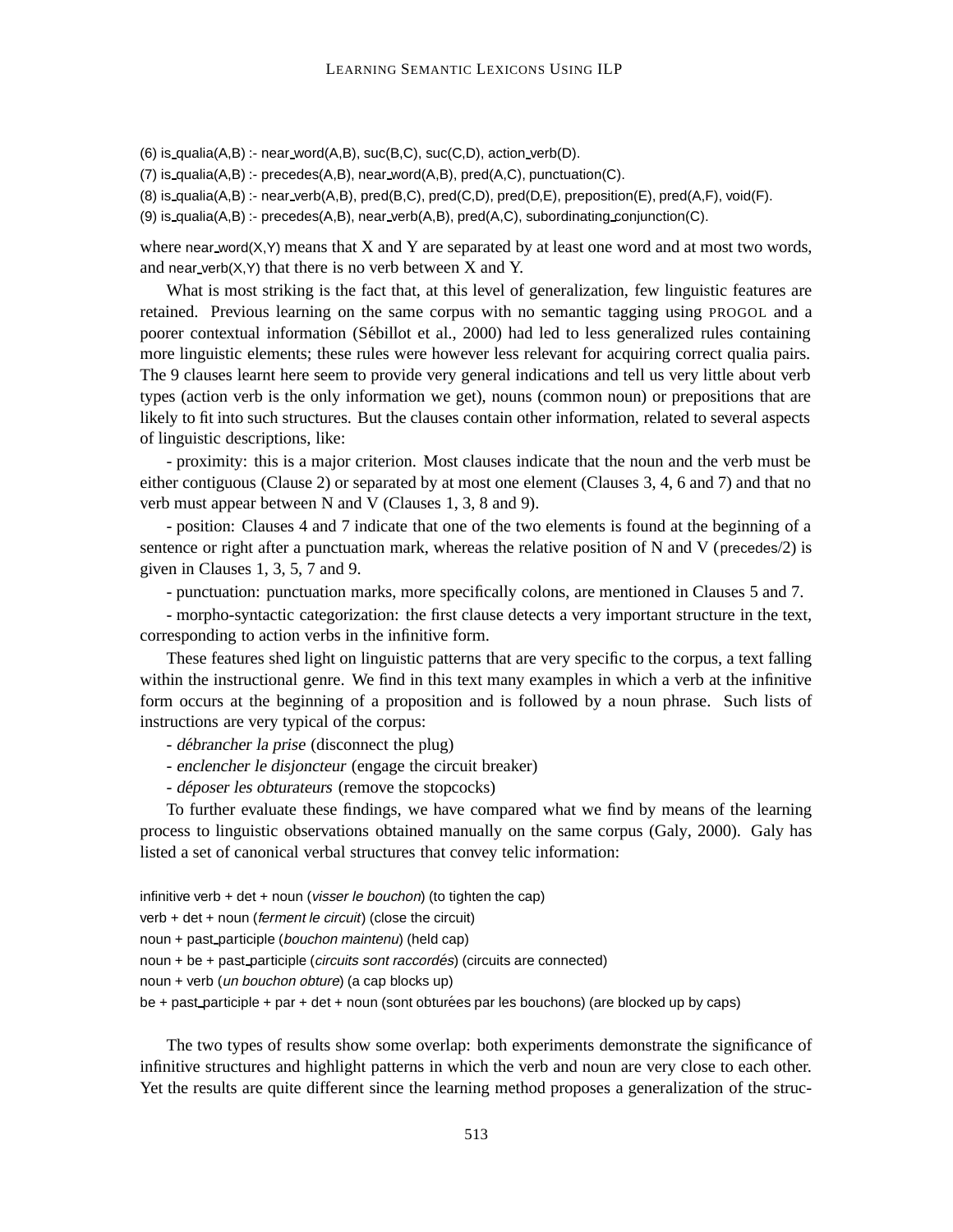$(6)$  is qualia(A,B) :- near word(A,B), suc(B,C), suc(C,D), action verb(D).

 $(7)$  is qualia(A,B) :- precedes(A,B), near word(A,B), pred(A,C), punctuation(C).

(8) is qualia(A,B) :- near verb(A,B), pred(B,C), pred(C,D), pred(D,E), preposition(E), pred(A,F), void(F).

 $(9)$  is qualia( $A,B$ ) :- precedes( $A,B$ ), near verb( $A,B$ ), pred( $A,C$ ), subordinating conjunction( $C$ ).

where near word $(X, Y)$  means that X and Y are separated by at least one word and at most two words, and near verb $(X, Y)$  that there is no verb between X and Y.

What is most striking is the fact that, at this level of generalization, few linguistic features are retained. Previous learning on the same corpus with no semantic tagging using PROGOL and a poorer contextual information (Sébillot et al., 2000) had led to less generalized rules containing more linguistic elements; these rules were however less relevant for acquiring correct qualia pairs. The 9 clauses learnt here seem to provide very general indications and tell us very little about verb types (action verb is the only information we get), nouns (common noun) or prepositions that are likely to fit into such structures. But the clauses contain other information, related to several aspects of linguistic descriptions, like:

- proximity: this is a major criterion. Most clauses indicate that the noun and the verb must be either contiguous (Clause 2) or separated by at most one element (Clauses 3, 4, 6 and 7) and that no verb must appear between N and V (Clauses 1, 3, 8 and 9).

- position: Clauses 4 and 7 indicate that one of the two elements is found at the beginning of a sentence or right after a punctuation mark, whereas the relative position of N and V (precedes/2) is given in Clauses 1, 3, 5, 7 and 9.

- punctuation: punctuation marks, more specifically colons, are mentioned in Clauses 5 and 7.

- morpho-syntactic categorization: the first clause detects a very important structure in the text, corresponding to action verbs in the infinitive form.

These features shed light on linguistic patterns that are very specific to the corpus, a text falling within the instructional genre. We find in this text many examples in which a verb at the infinitive form occurs at the beginning of a proposition and is followed by a noun phrase. Such lists of instructions are very typical of the corpus:

- débrancher la prise (disconnect the plug)
- enclencher le disjoncteur (engage the circuit breaker)
- déposer les obturateurs (remove the stopcocks)

To further evaluate these findings, we have compared what we find by means of the learning process to linguistic observations obtained manually on the same corpus (Galy, 2000). Galy has listed a set of canonical verbal structures that convey telic information:

```
infinitive verb + det + noun (visser le bouchon) (to tighten the cap)
verb + det + noun (ferment le circuit) (close the circuit)
noun + past participle (bouchon maintenu) (held cap)
noun + be + past_participle (circuits sont raccordés) (circuits are connected)
noun + verb (un bouchon obture) (a cap blocks up)
be + past_participle + par + det + noun (sont obturées par les bouchons) (are blocked up by caps)
```
The two types of results show some overlap: both experiments demonstrate the significance of infinitive structures and highlight patterns in which the verb and noun are very close to each other. Yet the results are quite different since the learning method proposes a generalization of the struc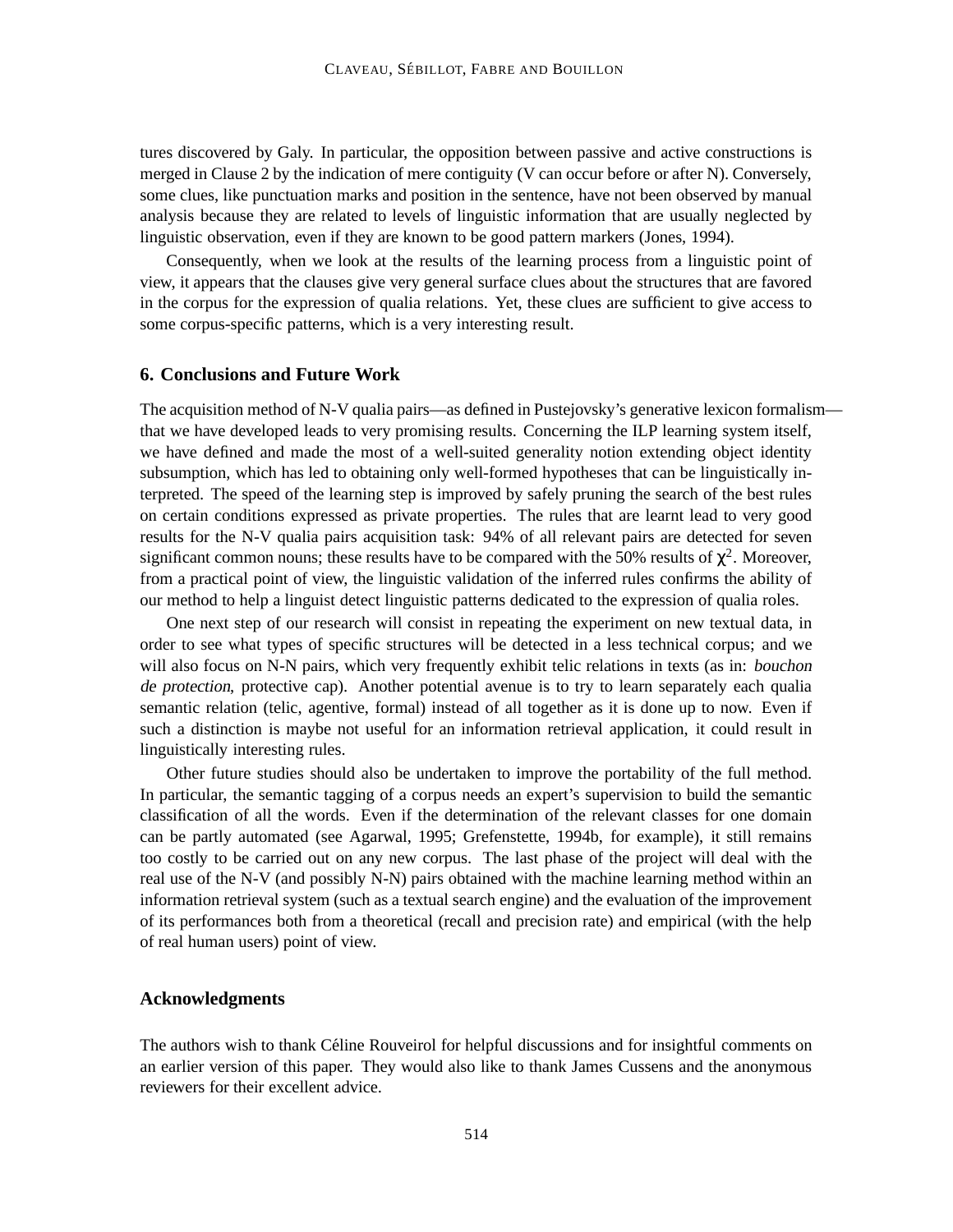tures discovered by Galy. In particular, the opposition between passive and active constructions is merged in Clause 2 by the indication of mere contiguity (V can occur before or after N). Conversely, some clues, like punctuation marks and position in the sentence, have not been observed by manual analysis because they are related to levels of linguistic information that are usually neglected by linguistic observation, even if they are known to be good pattern markers (Jones, 1994).

Consequently, when we look at the results of the learning process from a linguistic point of view, it appears that the clauses give very general surface clues about the structures that are favored in the corpus for the expression of qualia relations. Yet, these clues are sufficient to give access to some corpus-specific patterns, which is a very interesting result.

#### **6. Conclusions and Future Work**

The acquisition method of N-V qualia pairs—as defined in Pustejovsky's generative lexicon formalism that we have developed leads to very promising results. Concerning the ILP learning system itself, we have defined and made the most of a well-suited generality notion extending object identity subsumption, which has led to obtaining only well-formed hypotheses that can be linguistically interpreted. The speed of the learning step is improved by safely pruning the search of the best rules on certain conditions expressed as private properties. The rules that are learnt lead to very good results for the N-V qualia pairs acquisition task: 94% of all relevant pairs are detected for seven significant common nouns; these results have to be compared with the 50% results of  $\chi^2$ . Moreover, from a practical point of view, the linguistic validation of the inferred rules confirms the ability of our method to help a linguist detect linguistic patterns dedicated to the expression of qualia roles.

One next step of our research will consist in repeating the experiment on new textual data, in order to see what types of specific structures will be detected in a less technical corpus; and we will also focus on N-N pairs, which very frequently exhibit telic relations in texts (as in: bouchon de protection, protective cap). Another potential avenue is to try to learn separately each qualia semantic relation (telic, agentive, formal) instead of all together as it is done up to now. Even if such a distinction is maybe not useful for an information retrieval application, it could result in linguistically interesting rules.

Other future studies should also be undertaken to improve the portability of the full method. In particular, the semantic tagging of a corpus needs an expert's supervision to build the semantic classification of all the words. Even if the determination of the relevant classes for one domain can be partly automated (see Agarwal, 1995; Grefenstette, 1994b, for example), it still remains too costly to be carried out on any new corpus. The last phase of the project will deal with the real use of the N-V (and possibly N-N) pairs obtained with the machine learning method within an information retrieval system (such as a textual search engine) and the evaluation of the improvement of its performances both from a theoretical (recall and precision rate) and empirical (with the help of real human users) point of view.

## **Acknowledgments**

The authors wish to thank Céline Rouveirol for helpful discussions and for insightful comments on an earlier version of this paper. They would also like to thank James Cussens and the anonymous reviewers for their excellent advice.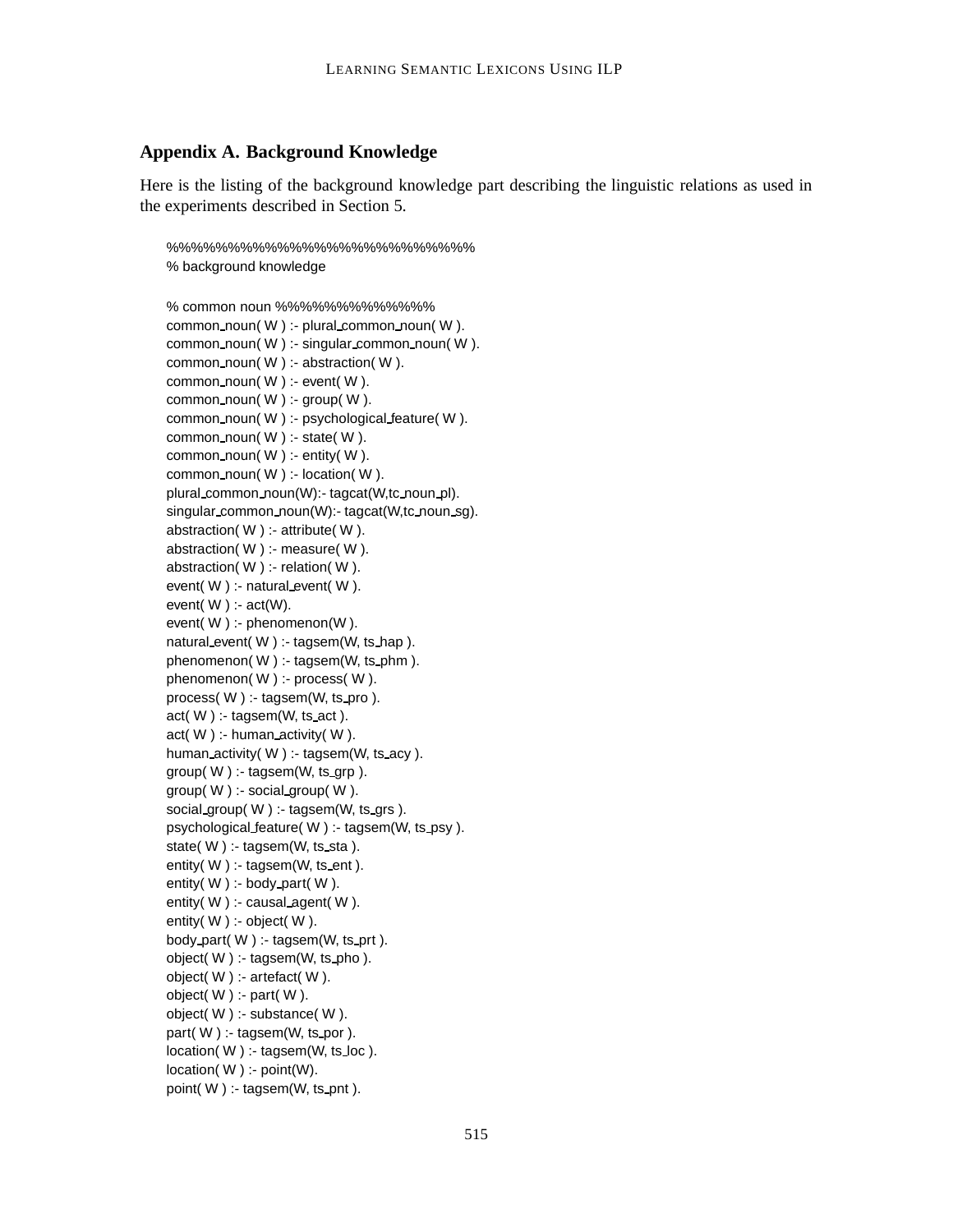## **Appendix A. Background Knowledge**

%%%%%%%%%%%%%%%%%%%%%%%%%

Here is the listing of the background knowledge part describing the linguistic relations as used in the experiments described in Section 5.

```
% background knowledge
% common noun %%%%%%%%%%%%%
common_noun( W ) :- plural_common_noun( W ).
common noun( W ) :- singular common noun( W ).
common_noun( W ) :- abstraction( W ).
common noun(W) :- event(W).
common_noun(W) :- group(W).
common_noun( W ) :- psychological_feature( W ).
common_noun(W) :- state(W).
common_noun(W) :- entity(W).
common_noun(W) :- location(W).
plural_common_noun(W):- tagcat(W,tc_noun_pl).
singular_common_noun(W):- tagcat(W,tc_noun_sg).
abstraction( W ) :- attribute( W ).
abstraction( W ) :- measure( W ).
abstraction( W ) :- relation( W ).
event( W ) :- natural event( W ).
event(W) :- act(W).
event(W) :- phenomenon(W).
natural event( W ) :- tagsem(W, ts hap ).
phenomenon(W) :- tagsem(W, ts_phm).
phenomenon(W) :- process(W).
process(W) :- tagsem(W, ts_pro).
act( W ) :- tagsem(W, ts act ).
act( W ) :- human activity( W ).
human activity( W ) :- tagsem(W, ts acy ).
group(W): tagsem(W, ts_0rp).
group( W ) :- social group( W ).
social group(W) :- tagsem(W, ts grs).
psychological feature( W ) :- tagsem(W, ts psy ).
state( W ) :- tagsem(W, ts_sta ).
entity(W) :- tagsem(W, ts_ent).
entity(W) :- body part(W).
entity(W) :- causal agent(W).
entity( W ) :- object( W ).
body part(W) :- tagsem(W, ts prt).
object( W ) :- tagsem(W, ts_pho ).
object( W ) :- artefact( W ).
object(W) :- part(W).
object( W ) :- substance( W ).
part( W ) :- tagsem(W, ts_por ).
location( W ) :- tagsem(W, ts_loc ).
location( W ) :- point(W).
point(W) :- tagsem(W, ts_pnt).
```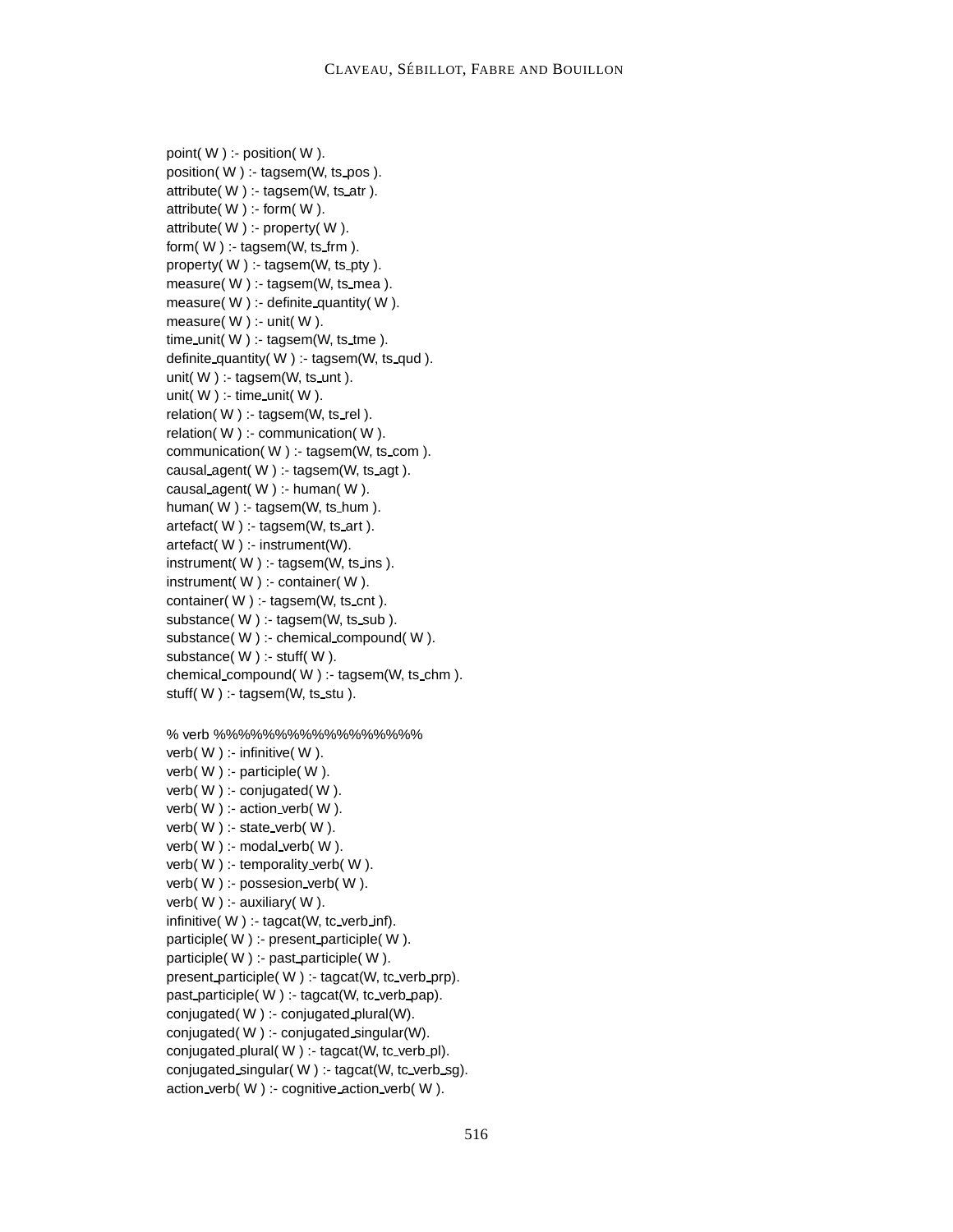```
point( W ) :- position( W ).
position( W ) :- tagsem(W, ts pos ).
attribute( W ) :- tagsem(W, ts_atr ).
attribute(W) :- form(W).
attribute( W ) :- property( W ).
form(W) :- tagsem(W, ts_frm).
property( W ) :- tagsem(W, ts_pty ).
measure( W ) :- tagsem(W, ts_mea ).
measure(W) :- definite quantity(W).
measure(W) :- unit(W).
time unit(W) :- tagsem(W, ts tme).
definite_quantity(W) :- tagsem(W, ts_qud).
unit(W) :- tagsem(W, ts_unt).
unit(W) :- time_unit(W).
relation(W) :- tagsem(W, ts_rel).
relation( W ) :- communication( W ).
communication( W ) :- tagsem(W, ts_com ).
causal_agent( W ) :- tagsem(W, ts_agt ).
causal_agent( W ) :- human( W ).
human( W ) :- tagsem(W, ts_hum ).
artefact(W) :- tagsem(W, ts_art).
artefact( W ) :- instrument(W).
instrument( W ) :- tagsem(W, ts_ins ).
instrument(W) :- container(W).
container(W) :- tagsem(W, ts cnt).
substance( W ) :- tagsem(W, ts sub).
substance( W ) :- chemical compound( W ).
substance( W ) :- stuff( W ).
chemical_compound( W ) :- tagsem(W, ts_chm ).
stuff( W ) :- tagsem(W, ts_stu ).
% verb %%%%%%%%%%%%%%%%%
verb(W) :- infinitive(W).
verb(W) :- participle(W).
verb(W) :- conjugated(W).
verb(W) :- action verb(W).
verb(W) :- state verb(W).
verb(W) :- modal_verb(W).
verb(W) :- temporality verb(W).
verb( W ) :- possesion verb( W ).
verb(W) :- auxiliary(W).
infinitive( W ) :- tagcat(W, tc_verb_inf).
participle( W ) :- present participle( W ).
participle( W ) :- past participle( W ).
present_participle(W) :- tagcat(W, tc_verb_prp).
past participle( W ) :- tagcat(W, tc verb pap).
conjugated( W ) :- conjugated plural(W).
conjugated( W ) :- conjugated singular(W).
conjugated plural( W ) :- tagcat(W, tc verb pl).
conjugated singular( W ) :- tagcat(W, tc_verb_sg).
action verb( W ) :- cognitive action verb( W ).
```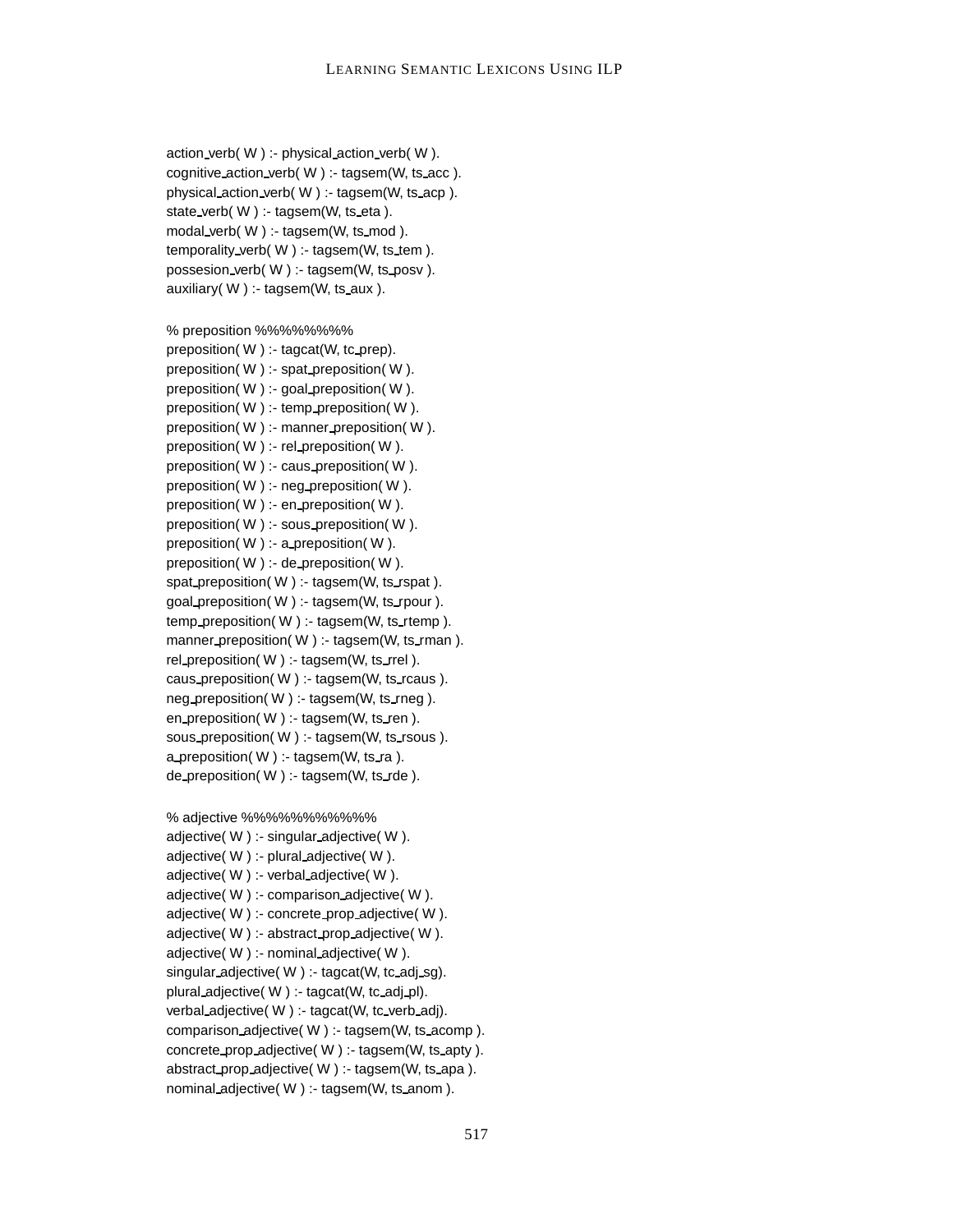```
action verb( W ) :- physical action verb( W ).
cognitive action verb( W ) :- tagsem(W, ts acc ).
physical action verb( W ) :- tagsem(W, ts acp ).
state_verb(W) :- tagsem(W, ts_eta).
modal_verb( W ) :- tagsem(W, ts_mod ).
temporality verb(W) :- tagsem(W, ts tem).
possesion_verb(W) :- tagsem(W, ts_posv).
auxiliary( W ) :- tagsem(W, ts_aux ).
```

```
% preposition %%%%%%%%
preposition( W ) :- tagcat(W, tc prep).
preposition( W ) :- spat preposition( W ).
preposition( W ) :- goal preposition( W ).
preposition( W ) :- temp_preposition( W ).
preposition( W ) :- manner preposition( W ).
preposition( W ) :- rel preposition( W ).
preposition( W ) :- caus preposition( W ).
preposition( W ) :- neg preposition( W ).
preposition( W ) :- en preposition( W ).
preposition( W ) :- sous_preposition( W ).
preposition( W ) :- a preposition( W ).
preposition( W ) :- de preposition( W ).
spat preposition( W ) :- tagsem(W, ts rspat).
goal preposition( W ) :- tagsem(W, ts rpour ).
temp_preposition( W ) :- tagsem(W, ts_rtemp ).
manner_preposition(W) :- tagsem(W, ts_rman).
rel preposition( W ) :- tagsem(W, ts_rrel ).
caus_preposition( W ) :- tagsem(W, ts_rcaus ).
neg_preposition( W ) :- tagsem(W, ts_rneg ).
en preposition( W ) :- tagsem(W, ts ren ).
sous_preposition( W ) :- tagsem(W, ts_rsous ).
a_preposition(W) :- tagsem(W, ts_ra).
de preposition( W ) :- tagsem(W, ts rde ).
```

```
% adjective %%%%%%%%%%%
adjective( W ) :- singular adjective( W ).
adjective( W ) :- plural adjective( W ).
adjective( W ) :- verbal adjective( W ).
adjective( W ) :- comparison adjective( W ).
adjective( W ) :- concrete prop adjective( W ).
adjective( W ) :- abstract prop adjective( W ).
adjective( W ) :- nominal adjective( W ).
singular adjective( W ) :- tagcat(W, tc adj sg).
plural adjective( W ) :- tagcat(W, tc adj pl).
verbal_adjective(W) :- tagcat(W, tc_verb_adj).
comparison adjective( W ) :- tagsem(W, ts acomp ).
```

```
concrete prop adjective( W ) :- tagsem(W, ts apty ).
abstract prop adjective( W ) :- tagsem(W, ts apa ).
nominal adjective( W ) :- tagsem(W, ts anom ).
```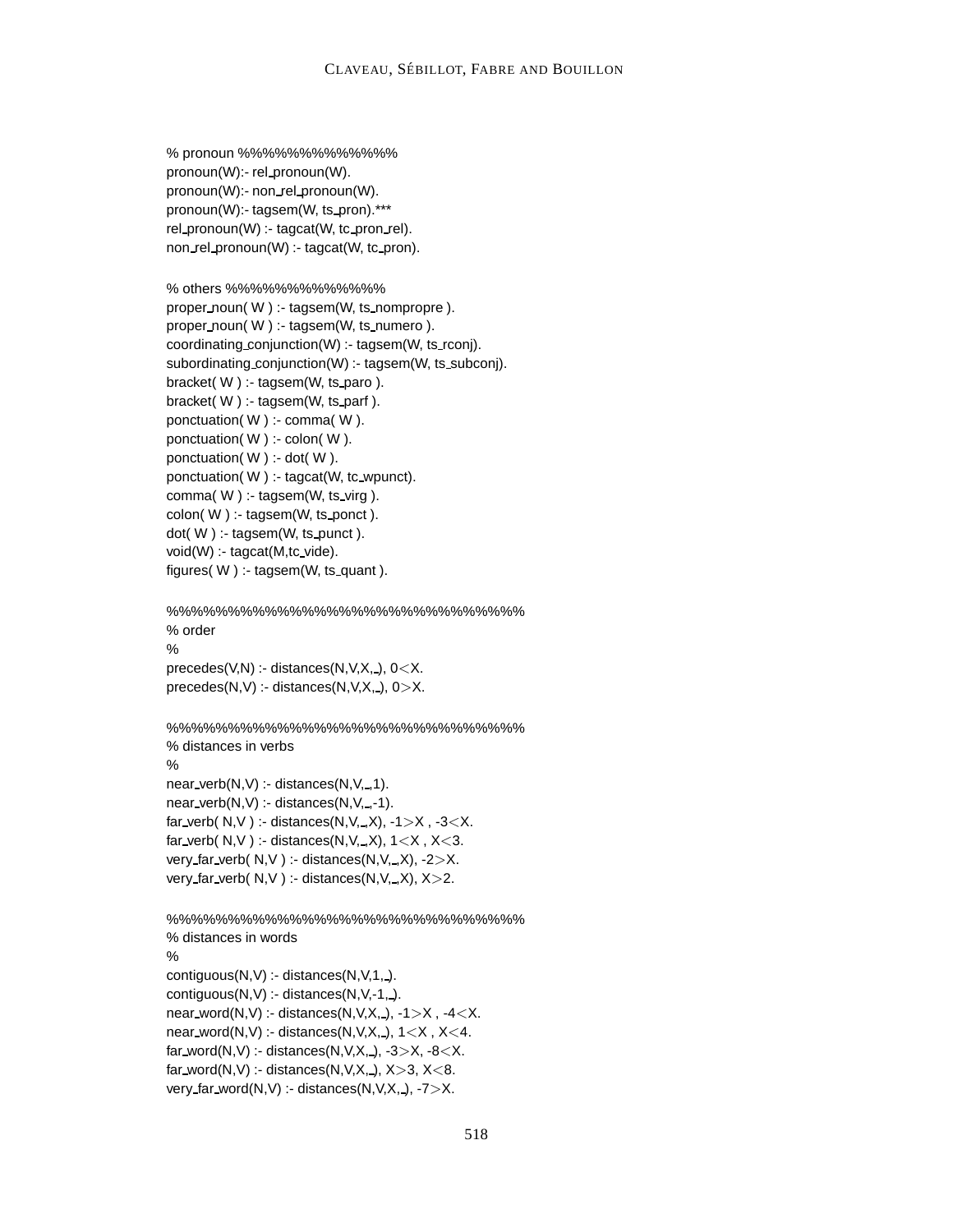```
% pronoun %%%%%%%%%%%%%
pronoun(W):- rel_pronoun(W).
pronoun(W):- non rel pronoun(W).
pronoun(W):- tagsem(W, ts_pron).***
rel_pronoun(W) :- tagcat(W, tc_pron_rel).
non_rel_pronoun(W) :- tagcat(W, tc_pron).
```

```
% others %%%%%%%%%%%%%
proper_noun( W ) :- tagsem(W, ts_nompropre ).
proper noun( W ) :- tagsem(W, ts_numero ).
coordinating conjunction(W) :- tagsem(W, ts_rconj).
subordinating conjunction(W) :- tagsem(W, ts_subconj).
bracket( W ) :- tagsem(W, ts_paro ).
bracket( W ) :- tagsem(W, ts_parf ).
ponctuation(W) :- comma(W).
ponctuation( W ) :- colon( W ).
ponctuation(W) :- dot(W).
ponctuation(W) :- tagcat(W, tc_wpunct).
comm (W) :- tagsem(W, ts virg ).
colon( W ) :- tagsem(W, ts ponct ).
dot(W) :- tagsem(W, ts punct).
void(W) :- tagcat(M,tc_vide).
figures(W) :- tagsem(W, ts_quant).
```

```
%%%%%%%%%%%%%%%%%%%%%%%%%%%%%
% order
%
precedes(V,N) :- distances(N,V,X, ), 0<X.
precedes(N,V) :- distances(N,V,X, ), 0>X.
```

```
%%%%%%%%%%%%%%%%%%%%%%%%%%%%%
% distances in verbs
%
nearverb(N,V) : distances(N,V, 1).near_verb(N,V) :- distances(N,V,_,-1).
far verb(N, V) :- distances(N, V, ..., X), -1> X, -3< X.
far verb(N, V) :- distances(N, V, X, 1 < X, X < 3.
very far verb(N, V) :- distances(N, V, X), -2> X.
very far verb(N, V) :- distances(N, V, ..., X), X > 2.
```

```
%%%%%%%%%%%%%%%%%%%%%%%%%%%%%
% distances in words
%
contiguous(N,V) :- distances(N,V,1,_).
contiguous(N,V) :- distances(N,V,-1, ).
near_word(N,V) :- distances(N,V,X, ), -1 > X, -4 < X.
near_word(N,V) :- distances(N,V,X,_), 1 < X, X < 4.
far word(N,V) :- distances(N,V,X, ), -3 >X, -8 < X.
far word(N, V) :- distances(N, V, X, ...), X > 3, X < 8.
very far word(N, V) :- distances(N, V, X, ...), -7>> X.
```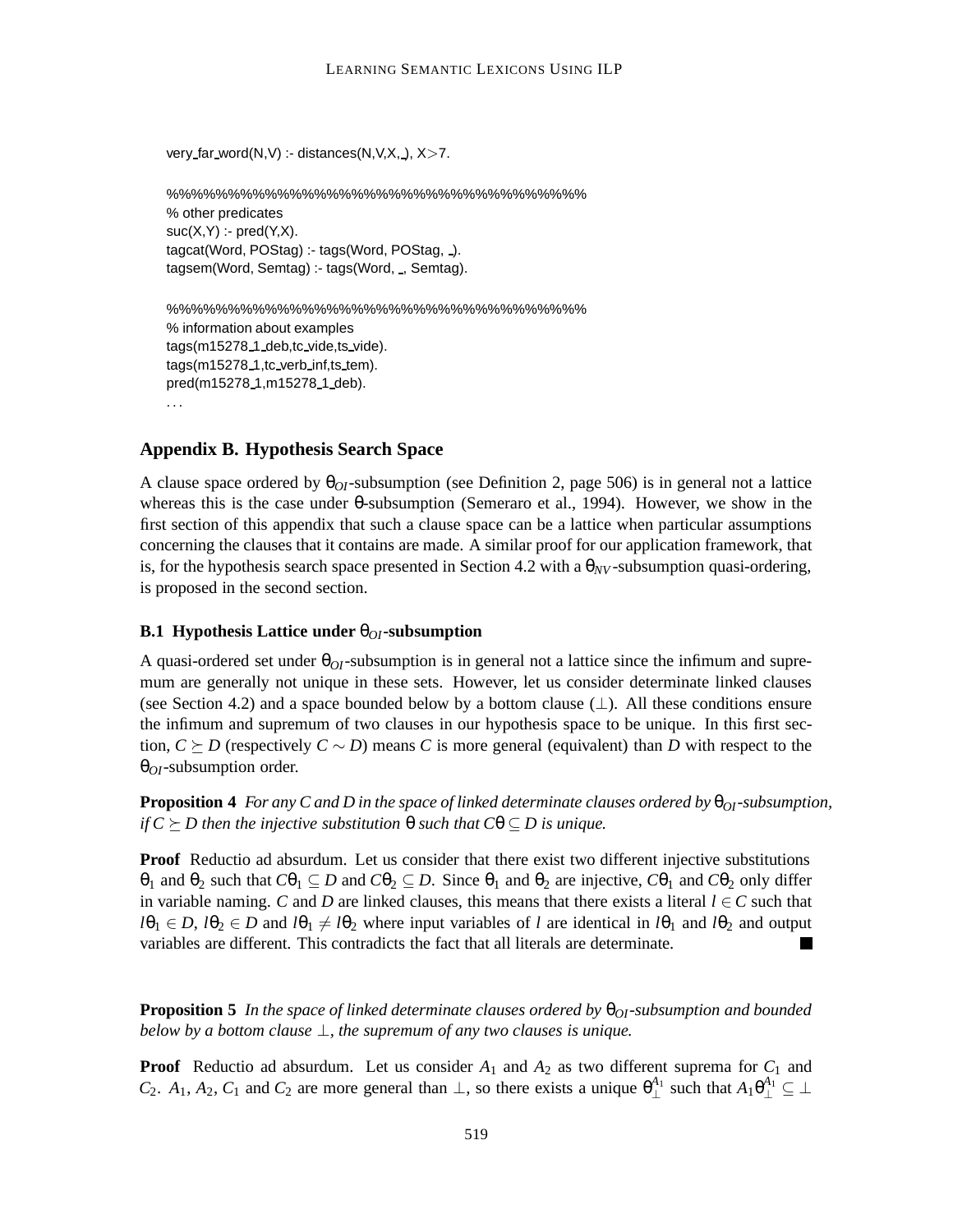```
very far word(N, V) :- distances(N, V, X, \cdot), X > 7.
```

```
%%%%%%%%%%%%%%%%%%%%%%%%%%%%%%%%%%
% other predicates
suc(X,Y) :- pred(Y,X).
tagcat(Word, POStag) :- tags(Word, POStag, ).
tagsem(Word, Semtag) :- tags(Word, _, Semtag).
```

```
%%%%%%%%%%%%%%%%%%%%%%%%%%%%%%%%%%
% information about examples
tags(m15278_1_deb,tc_vide,ts_vide).
tags(m15278_1,tc_verb_inf,ts_tem).
pred(m15278_1,m15278_1_deb).
...
```
## **Appendix B. Hypothesis Search Space**

A clause space ordered by  $\theta_{OI}$ -subsumption (see Definition 2, page 506) is in general not a lattice whereas this is the case under θ-subsumption (Semeraro et al., 1994). However, we show in the first section of this appendix that such a clause space can be a lattice when particular assumptions concerning the clauses that it contains are made. A similar proof for our application framework, that is, for the hypothesis search space presented in Section 4.2 with a  $\theta_{\rm{NV}}$ -subsumption quasi-ordering, is proposed in the second section.

#### **B.1 Hypothesis Lattice under** θ*OI***-subsumption**

A quasi-ordered set under  $\theta_{OI}$ -subsumption is in general not a lattice since the infimum and supremum are generally not unique in these sets. However, let us consider determinate linked clauses (see Section 4.2) and a space bounded below by a bottom clause  $(\perp)$ . All these conditions ensure the infimum and supremum of two clauses in our hypothesis space to be unique. In this first section,  $C \succeq D$  (respectively  $C \sim D$ ) means *C* is more general (equivalent) than *D* with respect to the θ*OI*-subsumption order.

**Proposition 4** *For any C and D in the space of linked determinate clauses ordered by* θ*OI-subsumption,*  $if C \succeq D$  then the injective substitution  $\theta$  such that  $C\theta \subseteq D$  is unique.

**Proof** Reductio ad absurdum. Let us consider that there exist two different injective substitutions  $θ_1$  and  $θ_2$  such that  $Cθ_1 ⊆ D$  and  $Cθ_2 ⊆ D$ . Since  $θ_1$  and  $θ_2$  are injective,  $Cθ_1$  and  $Cθ_2$  only differ in variable naming. *C* and *D* are linked clauses, this means that there exists a literal  $l \in C$  such that  $l\theta_1 \in D$ ,  $l\theta_2 \in D$  and  $l\theta_1 \neq l\theta_2$  where input variables of *l* are identical in  $l\theta_1$  and  $l\theta_2$  and output variables are different. This contradicts the fact that all literals are determinate.

**Proposition 5** *In the space of linked determinate clauses ordered by* θ*OI-subsumption and bounded below by a bottom clause* ⊥*, the supremum of any two clauses is unique.*

**Proof** Reductio ad absurdum. Let us consider  $A_1$  and  $A_2$  as two different suprema for  $C_1$  and *C*<sub>2</sub>. *A*<sub>1</sub>, *A*<sub>2</sub>, *C*<sub>1</sub> and *C*<sub>2</sub> are more general than  $\perp$ , so there exists a unique  $\theta_{\perp}^{A_1}$  such that  $A_1 \theta_{\perp}^{A_1} \subseteq \perp$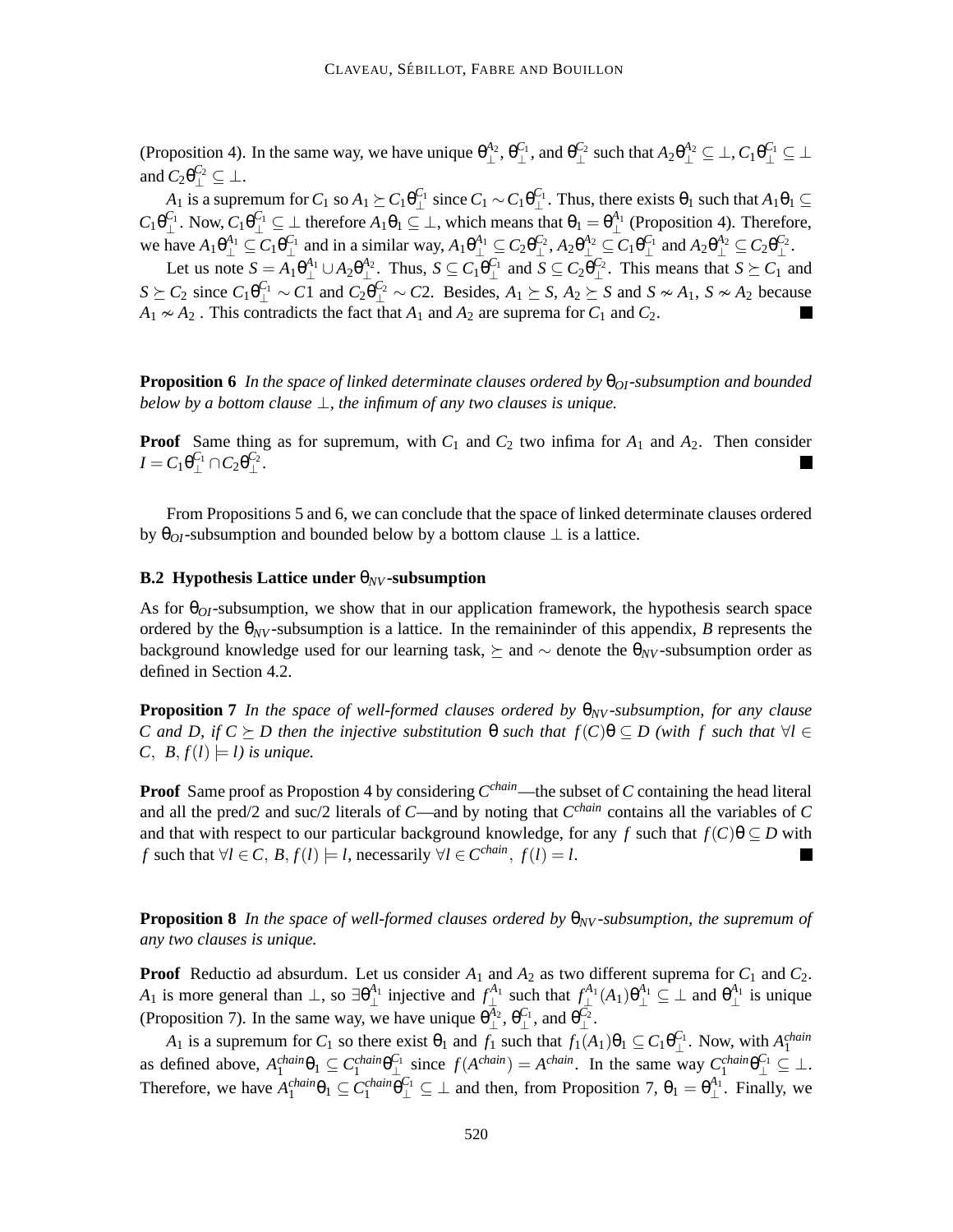(Proposition 4). In the same way, we have unique  $\theta_{\perp}^{A_2}$ ,  $\theta_{\perp}^{C_1}$ , and  $\theta_{\perp}^{C_2}$  such that  $A_2 \theta_{\perp}^{A_2} \subseteq \perp$ ,  $C_1 \theta_{\perp}^{C_1} \subseteq \perp$ and  $C_2 \theta_{\perp}^{C_2} \subseteq \perp$ .

 $A_1$  is a supremum for  $C_1$  so  $A_1 \succeq C_1 \theta_{\perp}^{C_1}$  since  $C_1 \sim C_1 \theta_{\perp}^{C_1}$ . Thus, there exists  $\theta_1$  such that  $A_1 \theta_1 \subseteq$  $C_1\theta_{\perp}^{C_1}$ . Now,  $C_1\theta_{\perp}^{C_1} \subseteq \perp$  therefore  $A_1\theta_1 \subseteq \perp$ , which means that  $\theta_1 = \theta_{\perp}^{A_1}$  (Proposition 4). Therefore, we have  $A_1\theta_{\perp}^{A_1} \subseteq C_1\theta_{\perp}^{C_1}$  and in a similar way,  $A_1\theta_{\perp}^{A_1} \subseteq C_2\theta_{\perp}^{C_2}$ ,  $A_2\theta_{\perp}^{A_2} \subseteq C_1\theta_{\perp}^{C_1}$  and  $A_2\theta_{\perp}^{A_2} \subseteq C_2\theta_{\perp}^{C_2}$ .

Let us note  $S = A_1 \theta_{\perp}^{A_1} \cup A_2 \theta_{\perp}^{A_2}$ . Thus,  $S \subseteq C_1 \theta_{\perp}^{C_1}$  and  $S \subseteq C_2 \theta_{\perp}^{C_2}$ . This means that  $S \succeq C_1$  and *S*  $\succeq$  *C*<sub>2</sub> since *C*<sub>1</sub>θ<sup>*C*<sub>1</sub></sup> ∼ *C*1 and *C*<sub>2</sub>θ<sub></sub><sup>*C*<sub>2</sub></sup> ∼ *C*2. Besides, *A*<sub>1</sub>  $\succeq$  *S*, *A*<sub>2</sub>  $\succeq$  *S* and *S* ≈ *A*<sub>1</sub>, *S* ≈ *A*<sub>2</sub> because  $A_1 \sim A_2$ . This contradicts the fact that  $A_1$  and  $A_2$  are suprema for  $C_1$  and  $C_2$ .

**Proposition 6** *In the space of linked determinate clauses ordered by* θ*OI-subsumption and bounded below by a bottom clause* ⊥*, the infimum of any two clauses is unique.*

**Proof** Same thing as for supremum, with  $C_1$  and  $C_2$  two infima for  $A_1$  and  $A_2$ . Then consider  $I = C_1 \theta_{\perp}^{C_1} \cap C_2 \theta_{\perp}^{C_2}$ . I.

From Propositions 5 and 6, we can conclude that the space of linked determinate clauses ordered by  $θ_{OI}$ -subsumption and bounded below by a bottom clause  $⊥$  is a lattice.

#### **B.2 Hypothesis Lattice under**  $\theta_{\text{NV}}$ -subsumption

As for  $\theta_{OI}$ -subsumption, we show that in our application framework, the hypothesis search space ordered by the  $\theta_{NV}$ -subsumption is a lattice. In the remaininder of this appendix, *B* represents the background knowledge used for our learning task,  $\succeq$  and  $∼$  denote the  $\theta_{\rm NV}$ -subsumption order as defined in Section 4.2.

**Proposition 7** *In the space of well-formed clauses ordered by*  $\theta_{NV}$ -subsumption, for any clause *C* and *D,* if  $C \succeq D$  then the injective substitution  $\theta$  such that  $f(C)\theta \subseteq D$  (with f such that  $\forall l \in$ *C*,  $B, f(l) \models l$  *is unique.* 

**Proof** Same proof as Propostion 4 by considering  $C^{chain}$ —the subset of C containing the head literal and all the pred/2 and suc/2 literals of *C*—and by noting that *Cchain* contains all the variables of *C* and that with respect to our particular background knowledge, for any *f* such that  $f(C) \theta \subseteq D$  with *f* such that ∀*l* ∈ *C*, *B*, *f*(*l*)  $\models$  *l*, necessarily ∀*l* ∈ *C*<sup>chain</sup>, *f*(*l*) = *l*.

**Proposition 8** In the space of well-formed clauses ordered by  $\theta_{NV}$ -subsumption, the supremum of *any two clauses is unique.*

**Proof** Reductio ad absurdum. Let us consider  $A_1$  and  $A_2$  as two different suprema for  $C_1$  and  $C_2$ . *A*<sub>1</sub> is more general than ⊥, so  $\exists \theta_{\perp}^{A_1}$  injective and  $f_{\perp}^{A_1}$  such that  $f_{\perp}^{A_1}(A_1)\theta_{\perp}^{A_1} \subseteq \bot$  and  $\theta_{\perp}^{A_1}$  is unique (Proposition 7). In the same way, we have unique  $\theta_{\perp}^{A_2}$ ,  $\theta_{\perp}^{C_1}$ , and  $\theta_{\perp}^{C_2}$ .

*A*<sub>1</sub> is a supremum for *C*<sub>1</sub> so there exist  $\theta_1$  and  $f_1$  such that  $f_1(A_1)\theta_1 \subseteq C_1\theta_1^{C_1}$ . Now, with  $A_1^{chain}$ as defined above,  $A_1^{chain}\theta_1 \subseteq C_1^{chain}\theta_{\perp}^{C_1}$  since  $f(A^{chain}) = A^{chain}$ . In the same way  $C_1^{chain}\theta_{\perp}^{C_1} \subseteq \perp$ . Therefore, we have  $A_1^{chain}\theta_1 \subseteq C_1^{chain}\theta_1^{C_1} \subseteq \perp$  and then, from Proposition 7,  $\theta_1 = \theta_1^{A_1}$ . Finally, we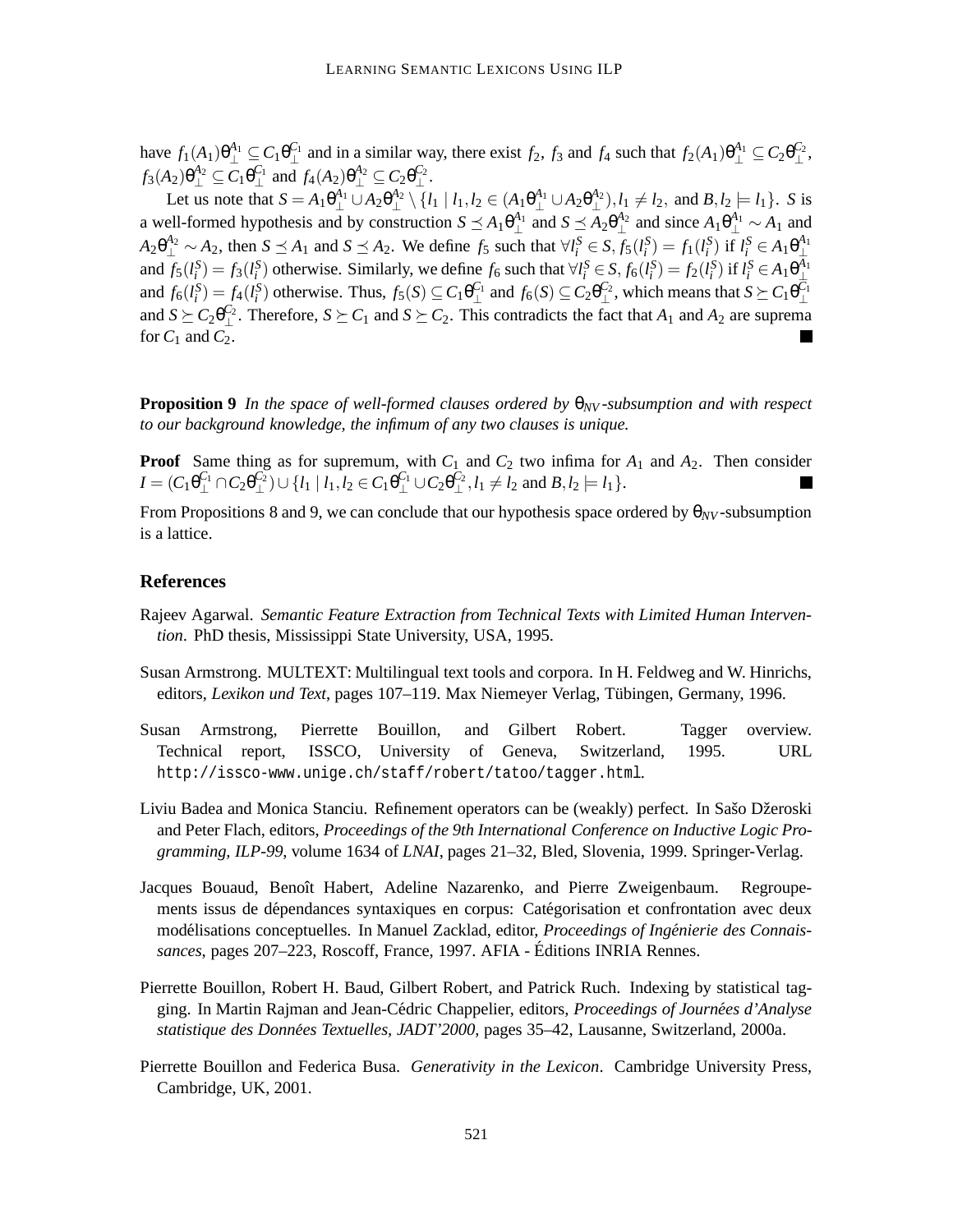have  $f_1(A_1)\theta_{\perp}^{A_1} \subseteq C_1\theta_{\perp}^{C_1}$  and in a similar way, there exist  $f_2$ ,  $f_3$  and  $f_4$  such that  $f_2(A_1)\theta_{\perp}^{A_1} \subseteq C_2\theta_{\perp}^{C_2}$ ,  $f_3(A_2)\theta_{\perp}^{A_2} \subseteq C_1\theta_{\perp}^{C_1}$  and  $f_4(A_2)\theta_{\perp}^{A_2} \subseteq C_2\theta_{\perp}^{C_2}$ .

Let us note that  $S = A_1 \theta_{\perp}^{A_1} \cup A_2 \theta_{\perp}^{A_2} \setminus \{l_1 | l_1, l_2 \in (A_1 \theta_{\perp}^{A_1} \cup A_2 \theta_{\perp}^{A_2}), l_1 \neq l_2$ , and  $B, l_2 \models l_1\}$ . S is a well-formed hypothesis and by construction  $S \preceq A_1 \theta_{\perp}^{A_1}$  and  $S \preceq A_2 \theta_{\perp}^{A_2}$  and since  $A_1 \theta_{\perp}^{A_1} \sim A_1$  and  $A_2\theta_{\perp}^{A_2} \sim A_2$ , then  $S \preceq A_1$  and  $S \preceq A_2$ . We define  $f_5$  such that  $\forall l_i^S \in S, f_5(l_i^S) = f_1(l_i^S)$  if  $l_i^S \in A_1\theta_{\perp}^{A_1}$ and  $f_5(l_i^S) = f_3(l_i^S)$  otherwise. Similarly, we define  $f_6$  such that  $\forall l_i^S \in S$ ,  $f_6(l_i^S) = f_2(l_i^S)$  if  $l_i^S \in A_1 \Theta_{\perp}^{A_1}$ and  $f_6(l_i^S) = f_4(l_i^S)$  otherwise. Thus,  $f_5(S) \subseteq C_1 \theta_{\perp}^{C_1}$  and  $f_6(S) \subseteq C_2 \theta_{\perp}^{C_2}$ , which means that  $S \succeq C_1 \theta_{\perp}^{C_1}$ and  $S \succeq C_2 \theta_{\perp}^{C_2}$ . Therefore,  $S \succeq C_1$  and  $S \succeq C_2$ . This contradicts the fact that  $A_1$  and  $A_2$  are suprema for  $C_1$  and  $C_2$ .

**Proposition 9** In the space of well-formed clauses ordered by  $\theta_{NV}$ -subsumption and with respect *to our background knowledge, the infimum of any two clauses is unique.*

**Proof** Same thing as for supremum, with  $C_1$  and  $C_2$  two infima for  $A_1$  and  $A_2$ . Then consider  $I = (C_1 \theta_1^{C_1} \cap C_2 \theta_1^{C_2}) \cup \{l_1 \mid l_1, l_2 \in C_1 \theta_1^{C_1} \cup C_2 \theta_1^{C_2}, l_1 \neq l_2 \text{ and } B, l_2 \models l_1\}.$ 

From Propositions 8 and 9, we can conclude that our hypothesis space ordered by  $\theta_{NV}$ -subsumption is a lattice.

#### **References**

- Rajeev Agarwal. *Semantic Feature Extraction from Technical Texts with Limited Human Intervention*. PhD thesis, Mississippi State University, USA, 1995.
- Susan Armstrong. MULTEXT: Multilingual text tools and corpora. In H. Feldweg and W. Hinrichs, editors, *Lexikon und Text*, pages 107–119. Max Niemeyer Verlag, Tübingen, Germany, 1996.
- Susan Armstrong, Pierrette Bouillon, and Gilbert Robert. Tagger overview. Technical report, ISSCO, University of Geneva, Switzerland, 1995. URL http://issco-www.unige.ch/staff/robert/tatoo/tagger.html.
- Liviu Badea and Monica Stanciu. Refinement operators can be (weakly) perfect. In Sašo Džeroski and Peter Flach, editors, *Proceedings of the 9th International Conference on Inductive Logic Programming, ILP-99*, volume 1634 of *LNAI*, pages 21–32, Bled, Slovenia, 1999. Springer-Verlag.
- Jacques Bouaud, Benoît Habert, Adeline Nazarenko, and Pierre Zweigenbaum. Regroupements issus de dépendances syntaxiques en corpus: Catégorisation et confrontation avec deux mod´elisations conceptuelles. In Manuel Zacklad, editor, *Proceedings of Ingenierie des Connais- ´ sances*, pages 207–223, Roscoff, France, 1997. AFIA - Editions INRIA Rennes. ´
- Pierrette Bouillon, Robert H. Baud, Gilbert Robert, and Patrick Ruch. Indexing by statistical tagging. In Martin Rajman and Jean-C´edric Chappelier, editors, *Proceedings of Journees d'Analyse ´ statistique des Donnees Textuelles, JADT'2000 ´* , pages 35–42, Lausanne, Switzerland, 2000a.
- Pierrette Bouillon and Federica Busa. *Generativity in the Lexicon*. Cambridge University Press, Cambridge, UK, 2001.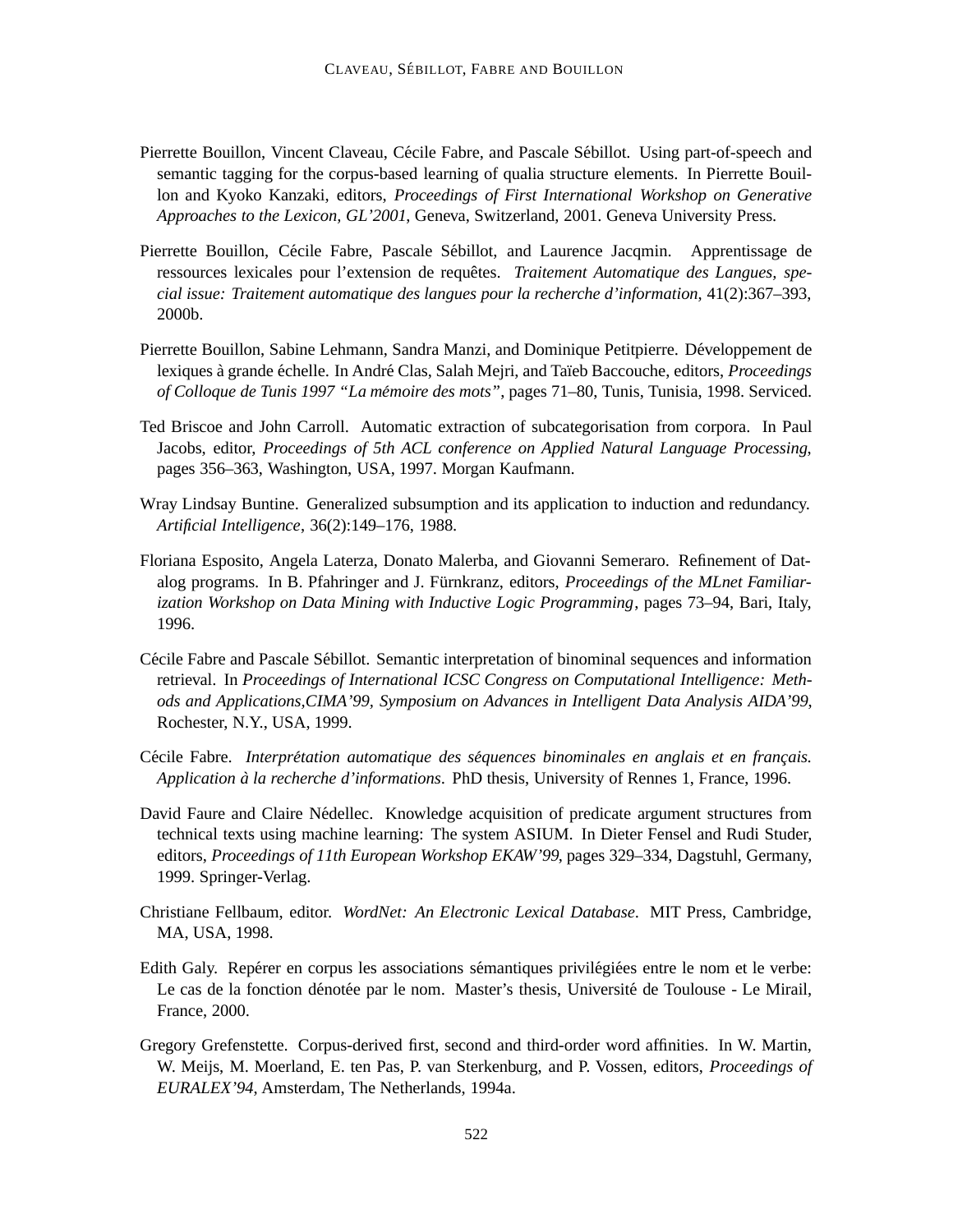- Pierrette Bouillon, Vincent Claveau, Cécile Fabre, and Pascale Sébillot. Using part-of-speech and semantic tagging for the corpus-based learning of qualia structure elements. In Pierrette Bouillon and Kyoko Kanzaki, editors, *Proceedings of First International Workshop on Generative Approaches to the Lexicon, GL'2001*, Geneva, Switzerland, 2001. Geneva University Press.
- Pierrette Bouillon, Cécile Fabre, Pascale Sébillot, and Laurence Jacqmin. Apprentissage de ressources lexicales pour l'extension de requêtes. *Traitement Automatique des Langues*, spe*cial issue: Traitement automatique des langues pour la recherche d'information*, 41(2):367–393, 2000b.
- Pierrette Bouillon, Sabine Lehmann, Sandra Manzi, and Dominique Petitpierre. Développement de lexiques à grande échelle. In André Clas, Salah Mejri, and Taïeb Baccouche, editors, *Proceedings of Colloque de Tunis 1997 "La memoire des mots" ´* , pages 71–80, Tunis, Tunisia, 1998. Serviced.
- Ted Briscoe and John Carroll. Automatic extraction of subcategorisation from corpora. In Paul Jacobs, editor, *Proceedings of 5th ACL conference on Applied Natural Language Processing*, pages 356–363, Washington, USA, 1997. Morgan Kaufmann.
- Wray Lindsay Buntine. Generalized subsumption and its application to induction and redundancy. *Artificial Intelligence*, 36(2):149–176, 1988.
- Floriana Esposito, Angela Laterza, Donato Malerba, and Giovanni Semeraro. Refinement of Datalog programs. In B. Pfahringer and J. Fürnkranz, editors, *Proceedings of the MLnet Familiarization Workshop on Data Mining with Inductive Logic Programming*, pages 73–94, Bari, Italy, 1996.
- Cécile Fabre and Pascale Sébillot. Semantic interpretation of binominal sequences and information retrieval. In *Proceedings of International ICSC Congress on Computational Intelligence: Methods and Applications,CIMA'99, Symposium on Advances in Intelligent Data Analysis AIDA'99*, Rochester, N.Y., USA, 1999.
- Cécile Fabre. *Interprétation automatique des séquences binominales en anglais et en français. Application a la recherche d'informations `* . PhD thesis, University of Rennes 1, France, 1996.
- David Faure and Claire Nédellec. Knowledge acquisition of predicate argument structures from technical texts using machine learning: The system ASIUM. In Dieter Fensel and Rudi Studer, editors, *Proceedings of 11th European Workshop EKAW'99*, pages 329–334, Dagstuhl, Germany, 1999. Springer-Verlag.
- Christiane Fellbaum, editor. *WordNet: An Electronic Lexical Database*. MIT Press, Cambridge, MA, USA, 1998.
- Edith Galy. Repérer en corpus les associations sémantiques privilégiées entre le nom et le verbe: Le cas de la fonction dénotée par le nom. Master's thesis, Université de Toulouse - Le Mirail, France, 2000.
- Gregory Grefenstette. Corpus-derived first, second and third-order word affinities. In W. Martin, W. Meijs, M. Moerland, E. ten Pas, P. van Sterkenburg, and P. Vossen, editors, *Proceedings of EURALEX'94*, Amsterdam, The Netherlands, 1994a.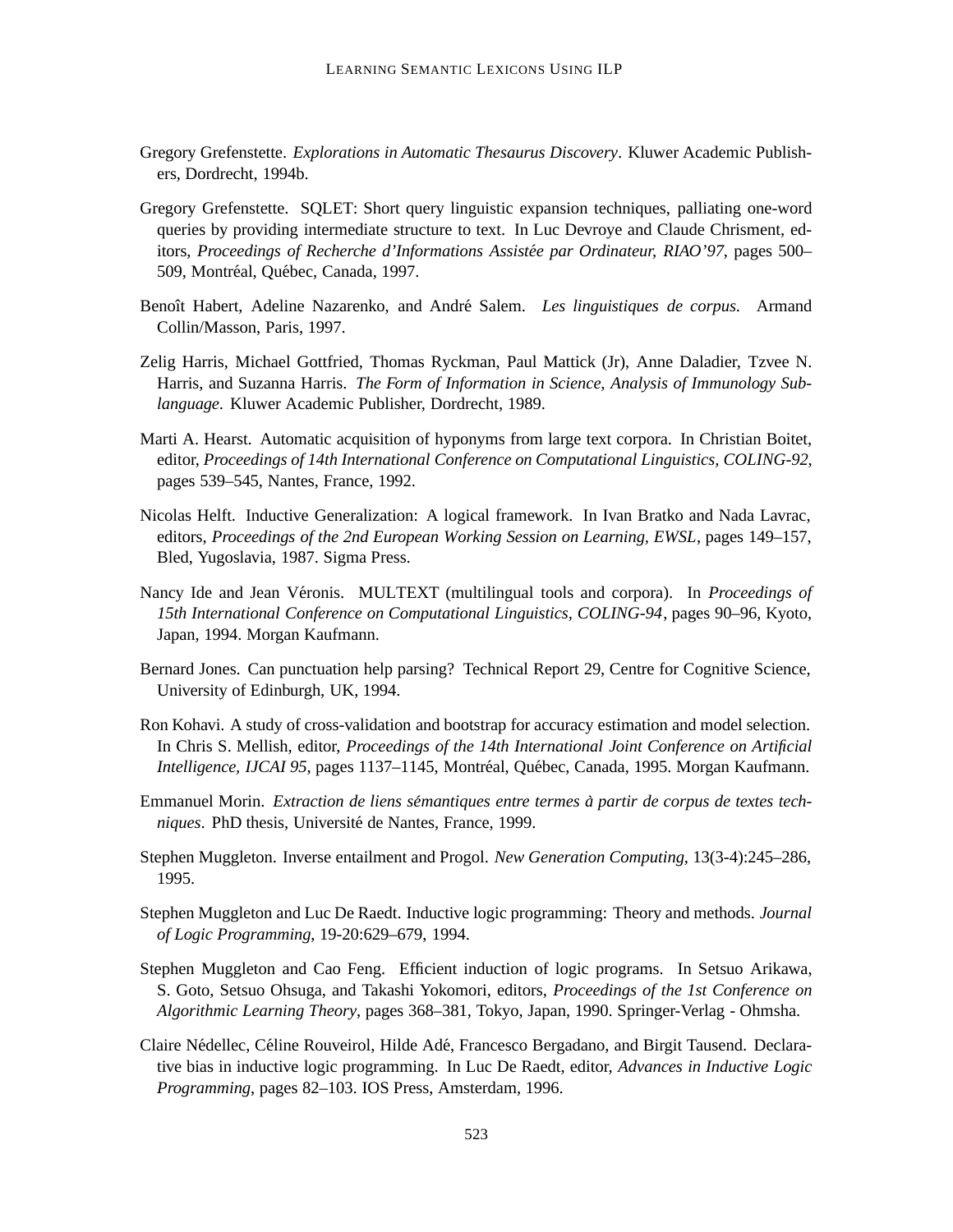- Gregory Grefenstette. *Explorations in Automatic Thesaurus Discovery*. Kluwer Academic Publishers, Dordrecht, 1994b.
- Gregory Grefenstette. SQLET: Short query linguistic expansion techniques, palliating one-word queries by providing intermediate structure to text. In Luc Devroye and Claude Chrisment, editors, *Proceedings of Recherche d'Informations Assistee par Ordinateur, RIAO'97 ´* , pages 500– 509, Montréal, Québec, Canada, 1997.
- Benoît Habert, Adeline Nazarenko, and André Salem. *Les linguistiques de corpus*. Armand Collin/Masson, Paris, 1997.
- Zelig Harris, Michael Gottfried, Thomas Ryckman, Paul Mattick (Jr), Anne Daladier, Tzvee N. Harris, and Suzanna Harris. *The Form of Information in Science, Analysis of Immunology Sublanguage*. Kluwer Academic Publisher, Dordrecht, 1989.
- Marti A. Hearst. Automatic acquisition of hyponyms from large text corpora. In Christian Boitet, editor, *Proceedings of 14th International Conference on Computational Linguistics, COLING-92*, pages 539–545, Nantes, France, 1992.
- Nicolas Helft. Inductive Generalization: A logical framework. In Ivan Bratko and Nada Lavrac, editors, *Proceedings of the 2nd European Working Session on Learning, EWSL*, pages 149–157, Bled, Yugoslavia, 1987. Sigma Press.
- Nancy Ide and Jean Véronis. MULTEXT (multilingual tools and corpora). In *Proceedings of 15th International Conference on Computational Linguistics, COLING-94*, pages 90–96, Kyoto, Japan, 1994. Morgan Kaufmann.
- Bernard Jones. Can punctuation help parsing? Technical Report 29, Centre for Cognitive Science, University of Edinburgh, UK, 1994.
- Ron Kohavi. A study of cross-validation and bootstrap for accuracy estimation and model selection. In Chris S. Mellish, editor, *Proceedings of the 14th International Joint Conference on Artificial Intelligence, IJCAI 95*, pages 1137–1145, Montréal, Québec, Canada, 1995. Morgan Kaufmann.
- Emmanuel Morin. *Extraction de liens semantiques entre termes ´ a partir de corpus de textes tech- ` niques*. PhD thesis, Université de Nantes, France, 1999.
- Stephen Muggleton. Inverse entailment and Progol. *New Generation Computing*, 13(3-4):245–286, 1995.
- Stephen Muggleton and Luc De Raedt. Inductive logic programming: Theory and methods. *Journal of Logic Programming*, 19-20:629–679, 1994.
- Stephen Muggleton and Cao Feng. Efficient induction of logic programs. In Setsuo Arikawa, S. Goto, Setsuo Ohsuga, and Takashi Yokomori, editors, *Proceedings of the 1st Conference on Algorithmic Learning Theory*, pages 368–381, Tokyo, Japan, 1990. Springer-Verlag - Ohmsha.
- Claire Nédellec, Céline Rouveirol, Hilde Adé, Francesco Bergadano, and Birgit Tausend. Declarative bias in inductive logic programming. In Luc De Raedt, editor, *Advances in Inductive Logic Programming*, pages 82–103. IOS Press, Amsterdam, 1996.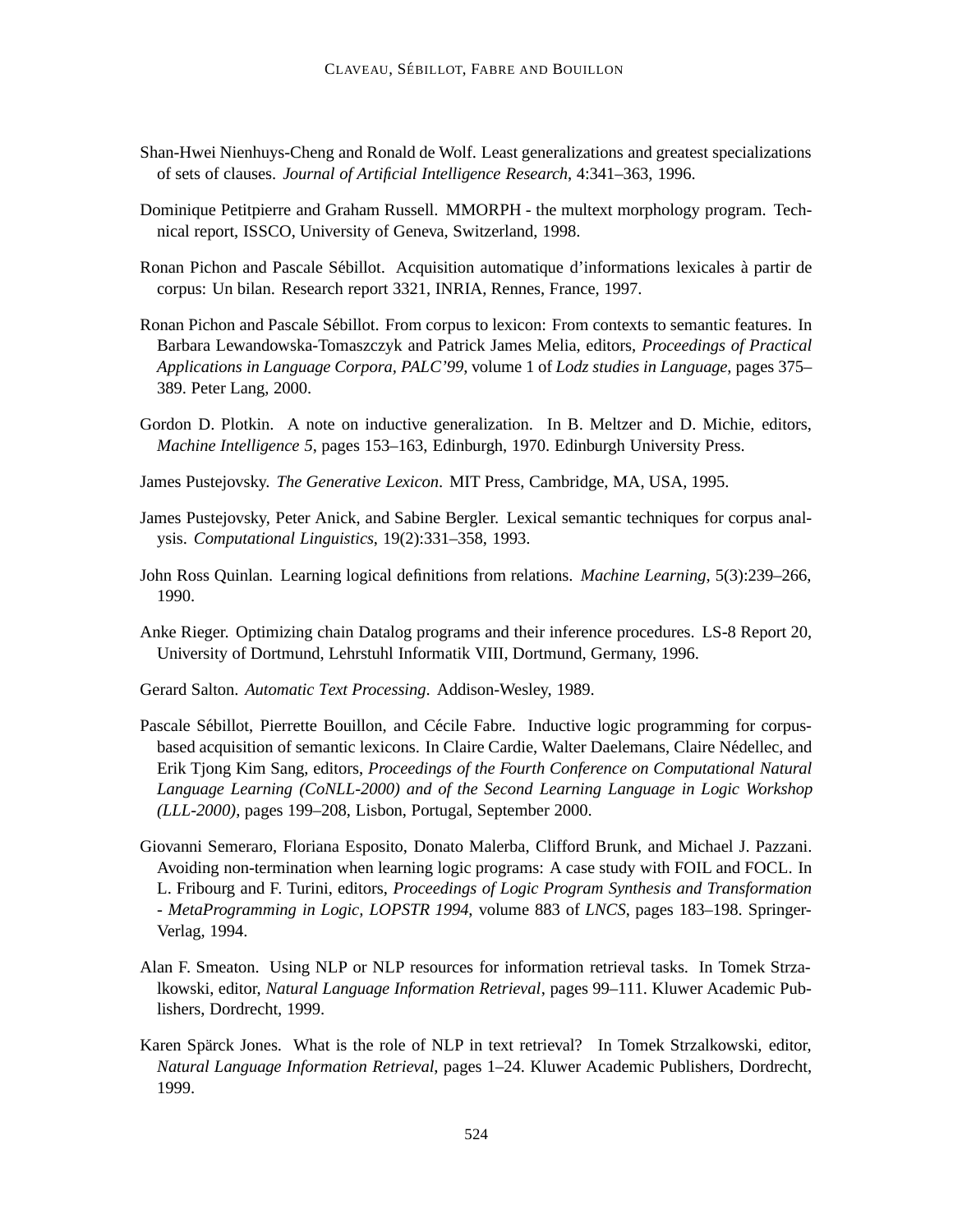- Shan-Hwei Nienhuys-Cheng and Ronald de Wolf. Least generalizations and greatest specializations of sets of clauses. *Journal of Artificial Intelligence Research*, 4:341–363, 1996.
- Dominique Petitpierre and Graham Russell. MMORPH the multext morphology program. Technical report, ISSCO, University of Geneva, Switzerland, 1998.
- Ronan Pichon and Pascale Sébillot. Acquisition automatique d'informations lexicales à partir de corpus: Un bilan. Research report 3321, INRIA, Rennes, France, 1997.
- Ronan Pichon and Pascale Sébillot. From corpus to lexicon: From contexts to semantic features. In Barbara Lewandowska-Tomaszczyk and Patrick James Melia, editors, *Proceedings of Practical Applications in Language Corpora, PALC'99*, volume 1 of *Lodz studies in Language*, pages 375– 389. Peter Lang, 2000.
- Gordon D. Plotkin. A note on inductive generalization. In B. Meltzer and D. Michie, editors, *Machine Intelligence 5*, pages 153–163, Edinburgh, 1970. Edinburgh University Press.
- James Pustejovsky. *The Generative Lexicon*. MIT Press, Cambridge, MA, USA, 1995.
- James Pustejovsky, Peter Anick, and Sabine Bergler. Lexical semantic techniques for corpus analysis. *Computational Linguistics*, 19(2):331–358, 1993.
- John Ross Quinlan. Learning logical definitions from relations. *Machine Learning*, 5(3):239–266, 1990.
- Anke Rieger. Optimizing chain Datalog programs and their inference procedures. LS-8 Report 20, University of Dortmund, Lehrstuhl Informatik VIII, Dortmund, Germany, 1996.
- Gerard Salton. *Automatic Text Processing*. Addison-Wesley, 1989.
- Pascale Sébillot, Pierrette Bouillon, and Cécile Fabre. Inductive logic programming for corpusbased acquisition of semantic lexicons. In Claire Cardie, Walter Daelemans, Claire Nédellec, and Erik Tjong Kim Sang, editors, *Proceedings of the Fourth Conference on Computational Natural Language Learning (CoNLL-2000) and of the Second Learning Language in Logic Workshop (LLL-2000)*, pages 199–208, Lisbon, Portugal, September 2000.
- Giovanni Semeraro, Floriana Esposito, Donato Malerba, Clifford Brunk, and Michael J. Pazzani. Avoiding non-termination when learning logic programs: A case study with FOIL and FOCL. In L. Fribourg and F. Turini, editors, *Proceedings of Logic Program Synthesis and Transformation - MetaProgramming in Logic, LOPSTR 1994*, volume 883 of *LNCS*, pages 183–198. Springer-Verlag, 1994.
- Alan F. Smeaton. Using NLP or NLP resources for information retrieval tasks. In Tomek Strzalkowski, editor, *Natural Language Information Retrieval*, pages 99–111. Kluwer Academic Publishers, Dordrecht, 1999.
- Karen Spärck Jones. What is the role of NLP in text retrieval? In Tomek Strzalkowski, editor, *Natural Language Information Retrieval*, pages 1–24. Kluwer Academic Publishers, Dordrecht, 1999.